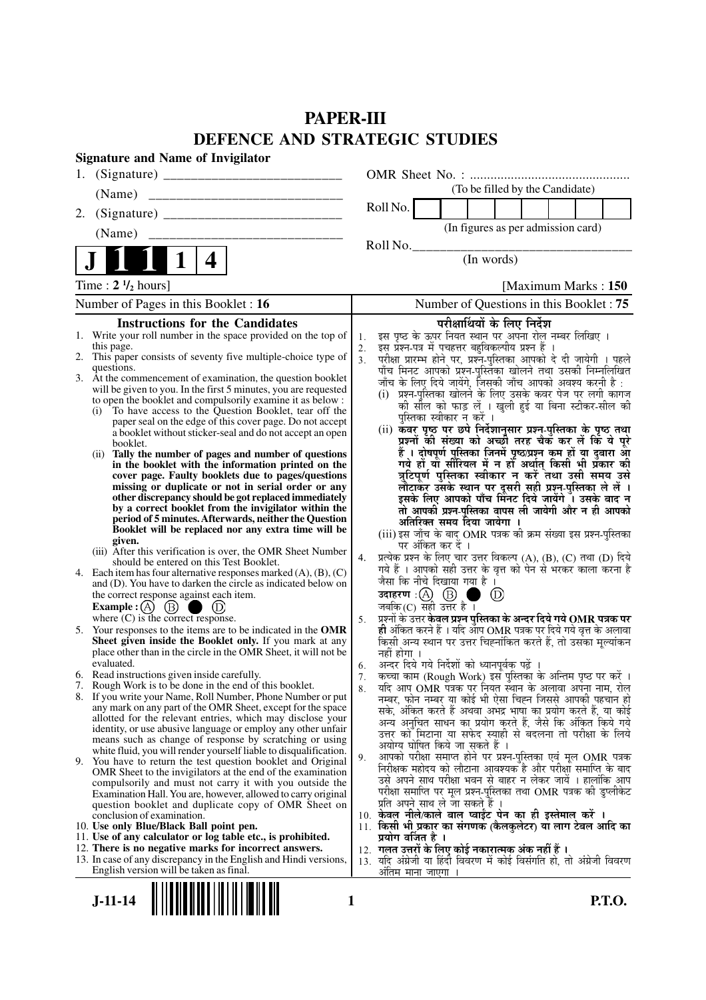# **PAPER-III DEFENCE AND STRATEGIC STUDIES**

|     | <b>Signature and Name of Invigilator</b>                                                                                      |                      |                                                                                                                                          |
|-----|-------------------------------------------------------------------------------------------------------------------------------|----------------------|------------------------------------------------------------------------------------------------------------------------------------------|
| 1.  |                                                                                                                               |                      |                                                                                                                                          |
|     | (Name)                                                                                                                        |                      | (To be filled by the Candidate)                                                                                                          |
| 2.  |                                                                                                                               |                      | Roll No.                                                                                                                                 |
|     | (Name)                                                                                                                        |                      | (In figures as per admission card)                                                                                                       |
|     |                                                                                                                               |                      | Roll No.<br>(In words)                                                                                                                   |
|     | 4                                                                                                                             |                      |                                                                                                                                          |
|     | Time: $2 \frac{1}{2}$ hours]                                                                                                  |                      | [Maximum Marks: 150]                                                                                                                     |
|     | Number of Pages in this Booklet : 16                                                                                          |                      | Number of Questions in this Booklet: 75                                                                                                  |
|     | <b>Instructions for the Candidates</b>                                                                                        |                      | परीक्षार्थियों के लिए निर्देश                                                                                                            |
|     | 1. Write your roll number in the space provided on the top of                                                                 | 1.                   | इस पृष्ठ के ऊपर नियत स्थान पर अपना रोल नम्बर लिखिए ।<br>इस प्रश्न-पत्र में पुचहत्तर बहुविकल्पीय प्रश्न हैं ।                             |
|     | this page.<br>2. This paper consists of seventy five multiple-choice type of                                                  | 2.<br>3 <sub>1</sub> | परीक्षा प्रारम्भ होने पर, प्रश्न्-पुस्तिका आपको दे दी जायेगी । पहले                                                                      |
|     | questions.                                                                                                                    |                      | पाँच मिनट आपको प्रश्न-पुस्तिका खोलने तथा उसकी निम्नलिखित                                                                                 |
|     | 3. At the commencement of examination, the question booklet                                                                   |                      | जाँच के लिए दिये जायेंगे, जिसकी जाँच आपको अवश्य करनी है :                                                                                |
|     | will be given to you. In the first 5 minutes, you are requested<br>to open the booklet and compulsorily examine it as below : |                      | (i) प्रश्न-पुस्तिका खोलने के लिए उसके कवर पेज पर लगी कागज                                                                                |
| (i) | To have access to the Question Booklet, tear off the                                                                          |                      | को सील को फाड़ लें । खुली हुई या बिना स्टीकर-सील की<br>पुस्तिका स्वीकार न करें ।                                                         |
|     | paper seal on the edge of this cover page. Do not accept                                                                      |                      |                                                                                                                                          |
|     | a booklet without sticker-seal and do not accept an open<br>booklet.                                                          |                      | (ii) कँवर पृष्ठ पर छपे निर्देशानुसार प्रश्न-पुस्तिका के पृष्ठ तथा<br>प्रश्नों की संख्या को अच्छी तरह चैक कर लें कि ये पूरे               |
| (i) | Tally the number of pages and number of questions                                                                             |                      | हैं । दोषपूर्ण पुस्तिका जिनमें पृष्ठ/प्रश्न कम हों या दुबारा आ                                                                           |
|     | in the booklet with the information printed on the                                                                            |                      | गये हो या सीरियल में न हो अर्थात् किसी भी प्रकार की                                                                                      |
|     | cover page. Faulty booklets due to pages/questions<br>missing or duplicate or not in serial order or any                      |                      | त्रुटिपूर्ण पुस्तिका स्वीकार न करें तथा उसी समय उसे<br>लौटाकेंर उसके स्थान पर दूसरी सही प्रश्न-पुस्तिका ले लें ।                         |
|     | other discrepancy should be got replaced immediately                                                                          |                      | इसके लिए आपको पाँच मिंनट दिये जायेंगे ँ। उसके बाद न                                                                                      |
|     | by a correct booklet from the invigilator within the                                                                          |                      | तो आपकी प्रश्न-पुस्तिका वापस ली जायेगी और न ही आपको                                                                                      |
|     | period of 5 minutes. Afterwards, neither the Question<br>Booklet will be replaced nor any extra time will be                  |                      | अतिरिक्त समय दिया जायेगा                                                                                                                 |
|     | given.                                                                                                                        |                      | (iii) इस जाँच के बाद OMR पत्रक की क्रम संख्या इस प्रश्न-पुस्तिका<br>पर अंकित कर दें ।                                                    |
|     | (iii) After this verification is over, the OMR Sheet Number                                                                   | 4.                   | प्रत्येक प्रश्न के लिए चार उत्तर विकल्प (A), (B), (C) तथा (D) दिये                                                                       |
|     | should be entered on this Test Booklet.<br>4. Each item has four alternative responses marked $(A)$ , $(B)$ , $(C)$           |                      | गये हैं । आपको सही उत्तर के वृत्त को पेन से भरकर काला करना है                                                                            |
|     | and (D). You have to darken the circle as indicated below on                                                                  |                      | जैसा कि नीचे दिखाया गया है ।                                                                                                             |
|     | the correct response against each item.                                                                                       |                      | उदाहरण : $\left(\!\begin{matrix} A \end{matrix}\!\right)$ $\left(\!\begin{matrix} B \end{matrix}\!\right)$<br>$\circled{\scriptstyle D}$ |
|     | <b>Example</b> : $(A)$<br>$\circled{B}$                                                                                       |                      | जबकि (C) सही उत्तर है $\overline{1}$                                                                                                     |
|     | where $(C)$ is the correct response.<br>5. Your responses to the items are to be indicated in the OMR                         | 5.                   | प्रश्नों के उत्तर केवल प्रश्न पुस्तिका के अन्दर दिये गये OMR पत्रक पर<br>ही अंकित करने हैं । यदि ऑप OMR पत्रक पर दिये गये वृत्त के अलावा |
|     | Sheet given inside the Booklet only. If you mark at any                                                                       |                      | किसी अन्य स्थान पर उत्तर चिह्नांकित करते हैं, तो उसका मूल्यांकन                                                                          |
|     | place other than in the circle in the OMR Sheet, it will not be                                                               |                      | नहीं होगा ।                                                                                                                              |
|     | evaluated.                                                                                                                    | 6.                   | अन्दर दिये गये निर्देशों को ध्यानपूर्वक पढ़ें ।                                                                                          |
|     | 6. Read instructions given inside carefully.<br>7. Rough Work is to be done in the end of this booklet.                       | 7.                   | कच्चा काम (Rough Work) इस पुस्तिका के अन्तिम पृष्ठ पर करें ।<br>र्याद आप OMR पत्रक पर नियत स्थान के अलावा अपना नाम, रोल                  |
|     | 8. If you write your Name, Roll Number, Phone Number or put                                                                   | 8.                   | नम्बर, फोन नम्बर या कोई भी ऐसा चिह्न जिससे आपकी पहचान हो                                                                                 |
|     | any mark on any part of the OMR Sheet, except for the space                                                                   |                      | सके, अंकित करते हैं अथवा अभद्र भाषा का प्रयोग करते हैं, या कोई                                                                           |
|     | allotted for the relevant entries, which may disclose your<br>identity, or use abusive language or employ any other unfair    |                      | अन्य अनुचित साधन का प्रयोग करते हैं, जैसे कि अंकित किये गये                                                                              |
|     | means such as change of response by scratching or using                                                                       |                      | उत्तर को मिटाना या सफेद स्याही से बदलना तो परीक्षा के लिये<br>अयोग्य घोषित किये जा सकते हैं ।                                            |
|     | white fluid, you will render yourself liable to disqualification.                                                             | 9.                   | आपको परीक्षा समाप्त होने पर प्रश्न-पुस्तिका एवं मूल OMR पत्रक                                                                            |
|     | 9. You have to return the test question booklet and Original<br>OMR Sheet to the invigilators at the end of the examination   |                      | निरीक्षक महोदय को लौटाना आवश्यक है और परीक्षा समाप्ति के बाद                                                                             |
|     | compulsorily and must not carry it with you outside the                                                                       |                      | उसे अपने साथ परीक्षा भवन से बाहर न लेकर जायें । हालांकि आप                                                                               |
|     | Examination Hall. You are, however, allowed to carry original                                                                 |                      | परीक्षा समाप्ति पर मूल प्रश्न-पुस्तिका तथा OMR पत्रक की डुप्लीकेट                                                                        |
|     | question booklet and duplicate copy of OMR Sheet on<br>conclusion of examination.                                             |                      | प्रति अपने साथ ले जा सकते है ।<br>10. केवल नीले/काले बाल प्वाईट पेन का ही इस्तेमाल करें ।                                                |
|     | 10. Use only Blue/Black Ball point pen.                                                                                       |                      | 11. किसी भी प्रकार का संगणक (कैलकुलेटर) या लाग टेबल आदि का                                                                               |
|     | 11. Use of any calculator or log table etc., is prohibited.                                                                   |                      | प्रयोग वर्जित है ।                                                                                                                       |
|     | 12. There is no negative marks for incorrect answers.                                                                         |                      | 12.  गलत उत्तरों के लिए कोई नकारात्मक अंक नहीं हैं ।                                                                                     |
|     | 13. In case of any discrepancy in the English and Hindi versions,<br>English version will be taken as final.                  |                      | 13. यदि अंग्रेजी या हिंदी विवरण में कोई विसंगति हो, तो अंग्रेजी विवरण<br>अतिम माना जाएगा                                                 |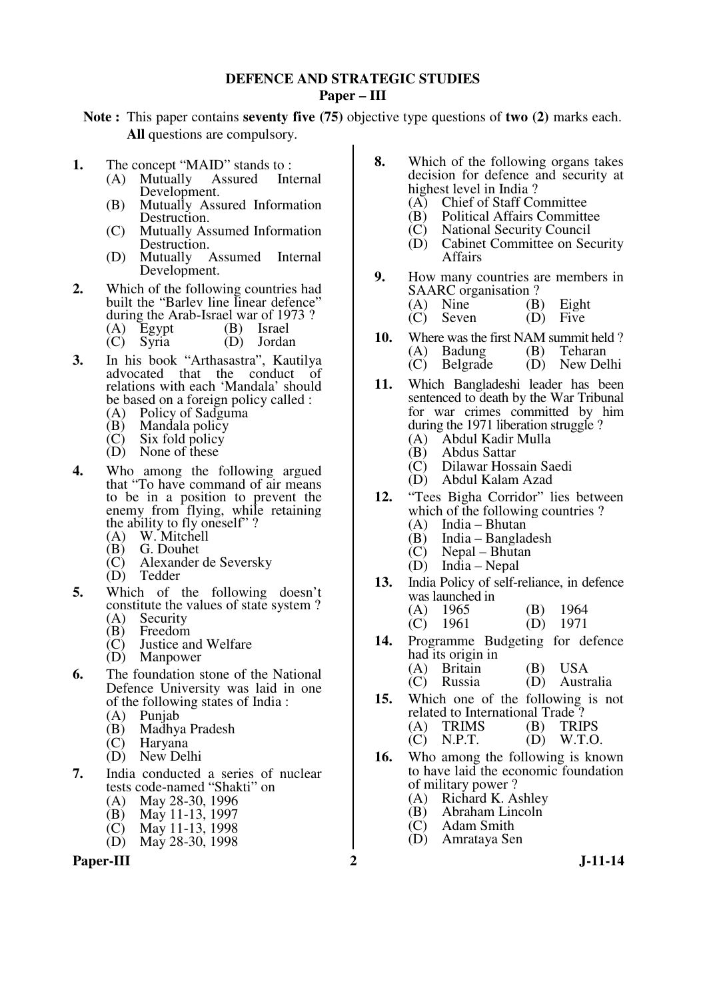#### **DEFENCE AND STRATEGIC STUDIES Paper – III**

**Note :** This paper contains **seventy five (75)** objective type questions of **two (2)** marks each. **All** questions are compulsory.

- **1.** The concept "MAID" stands to :<br>(A) Mutually Assured Internal
	- $(A)$  Mutually Assured Development.
	- (B) Mutually Assured Information Destruction.
	- (C) Mutually Assumed Information Destruction.
	- (D) Mutually Assumed Internal Development.
- **2.** Which of the following countries had built the "Barlev line linear defence" during the Arab-Israel war of 1973?<br>
(A) Egypt (B) Israel (B) Israel
	- (C) Syria (D) Jordan
- **3.** In his book "Arthasastra", Kautilya advocated that the conduct of relations with each 'Mandala' should be based on a foreign policy called :
	- (A) Policy of Sadguma<br>(B) Mandala policy
	- $(B)$  Mandala policy<br>(C) Six fold policy
	- Six fold policy
	- $(D)$  None of these
- **4.** Who among the following argued that "To have command of air means to be in a position to prevent the enemy from flying, while retaining the ability to fly oneself" ?<br>(A) W. Mitchell
	- (A) W. Mitchell<br>(B) G. Douhet
	- (B) G. Douhet
	- (C) Alexander de Seversky
	- Tedder
- **5.** Which of the following doesn't constitute the values of state system ?<br>(A) Security
	- (A) Security<br>(B) Freedom
	- $(B)$  Freedom<br> $(C)$  Justice an
	- $\begin{array}{cc}\n\text{(C)} & \text{Justice and Welfare} \\
	\text{(D)} & \text{Manower}\n\end{array}$ **Manpower**
- **6.** The foundation stone of the National Defence University was laid in one of the following states of India :
	- (A) Punjab
	- (B) Madhya Pradesh
	- **Haryana**
	- (D) New Delhi
- **7.** India conducted a series of nuclear tests code-named "Shakti" on
	- (A) May 28-30, 1996<br>(B) May 11-13, 1997
	- (B) May 11-13, 1997<br>(C) May 11-13, 1998
	- May 11-13, 1998
	- (D) May 28-30, 1998

Paper-III 2 J-11-14

- **8.** Which of the following organs takes decision for defence and security at highest level in India ?<br>(A) Chief of Staff Co
	- (A) Chief of Staff Committee<br>(B) Political Affairs Committe
	- (B) Political Affairs Committee<br>(C) National Security Council
	- (C) National Security Council
	- Cabinet Committee on Security Affairs
- **9.** How many countries are members in SAARC organisation ?<br>(A) Nine (B)
	- (A) Nine (B) Eight<br>
	(C) Seven (D) Five
	- $(C)$  Seven
- **10.** Where was the first NAM summit held ?<br>(A) Badung (B) Teharan (A) Badung<br>(C) Belgrade
	- $(D)$  New Delhi
- **11.** Which Bangladeshi leader has been sentenced to death by the War Tribunal for war crimes committed by him during the 1971 liberation struggle ?
	- (A) Abdul Kadir Mulla
	- (B) Abdus Sattar<br>(C) Dilawar Hoss
	- (C) Dilawar Hossain Saedi
	- Abdul Kalam Azad
- **12.** "Tees Bigha Corridor" lies between which of the following countries ?<br>(A) India – Bhutan
	-
	- (A) India Bhutan India – Bangladesh
- (C) Nepal Bhutan
- (D) India Nepal
- **13.** India Policy of self-reliance, in defence was launched in

| $(A)$ 1965 | $(B)$ 1964 |
|------------|------------|
| $(C)$ 1961 | $(D)$ 1971 |

- **14.** Programme Budgeting for defence had its origin in
	- (A) Britain (B) USA<br>(C) Russia (D) Austr
	- (D) Australia
- **15.** Which one of the following is not related to International Trade?<br>(A) TRIMS (B) TRIPS (A) TRIMS (B) TRIPS<br>(C) N.P.T. (D) W.T.O.
	- $N.P.T.$
- **16.** Who among the following is known to have laid the economic foundation of military power ?
	- (A) Richard K. Ashley<br>(B) Abraham Lincoln
	- $(B)$  Abraham Lincoln<br>  $(C)$  Adam Smith
	- Adam Smith
	- (D) Amrataya Sen
-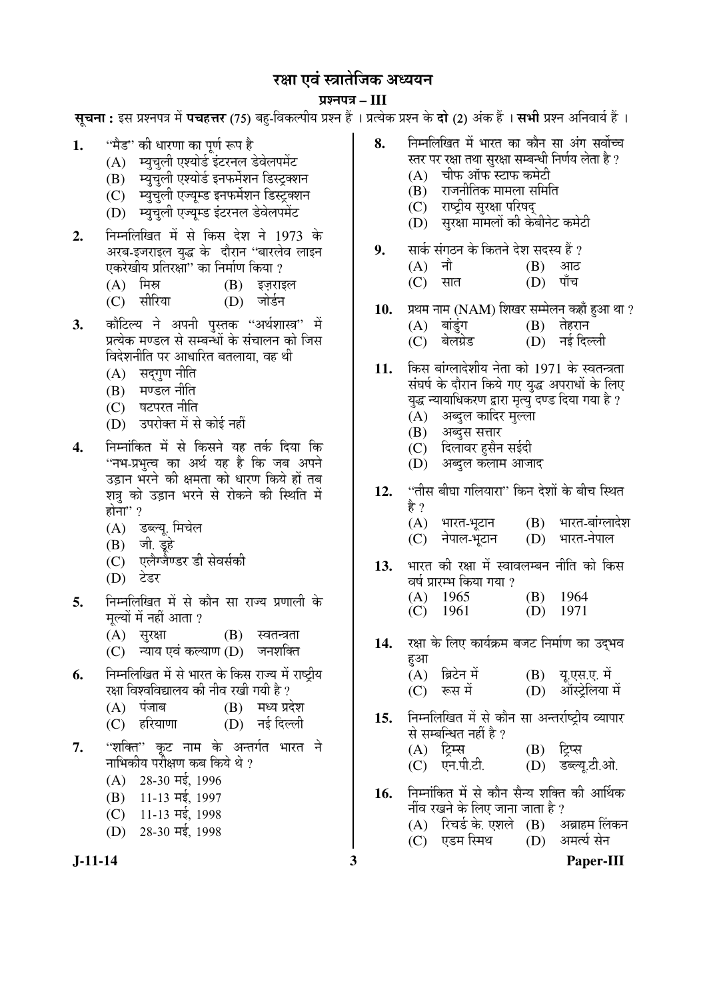## रक्षा एवं स्त्रातेजिक अध्ययन

#### प्रश्नपत्र – III

**सचना :** इस प्रश्नपत्र में **पचहत्तर** (75) बह-विकल्पीय प्रश्न हैं । प्रत्येक प्रश्न के **दो** (2) अंक हैं । **सभी** प्रश्न अनिवार्य हैं ।

- 1. "मैड" की धारणा का पर्ण रूप है
	- (A) म्युचली एश्योर्ड इंटरनल डेवेलपमेंट
	- $(B)$  म्यचली एश्योर्ड इनफर्मेशन डिस्टक्शन
	- $(C)$  स्यचली एज्यम्ड इनफर्मेशन डिस्टक्शन
	- (D) स्यचली एज्यम्ड इंटरनल डेवेलपमेंट
- 2. निम्नलिखित में से किस देश ने 1973 के अरब-इजराइल युद्ध के दौरान ''बारलेव लाइन एकरेखीय प्रतिरक्षां'' का निर्माण किया ?
	- $(A)$  मिस्र  $(B)$  इज़राइल
	- (C) सीरिया (D) जोर्डन
- 3. कौटिल्य ने अपनी पुस्तक "अर्थशास्त्र" में प्रत्येक मण्डल से सम्बन्धों के संचालन को जिस <u>विदेशनीति पर आधारित बतलाया. वह थी</u>
	- $(A)$  सद्गृण नीति
	- (B) मण्डल नीति
	- (C) षटपरत नीति
	- (D) उपरोक्त में से कोई नहीं
- **4.** ×®Ö´®ÖÖÓ×ÛúŸÖ ´Öë ÃÖê ×ÛúÃÖ®Öê µÖÆü ŸÖÛÔú פüµÖÖ ×Ûú "नभ-प्रभत्व का अर्थ यह है कि जब अपने उडान भरने की क्षमता को धारण किये हों तब शत्र को उड़ान भरने से रोकने की स्थिति में होना $"$  ?
	- (A) डब्ल्यू. मिचेल
	- $(B)$  जी इहे
	- (C) एलैग्जैण्डर डी सेवर्सकी
	- (D) टेडर
- **5.** निम्नलिखित में से कौन सा राज्य प्रणाली के मल्यों में नहीं आता ?
	- (A) सुरक्षा (B) स्वतन्त्रता
	- (C) न्याय एवं कल्याण (D) जनशक्ति
- **6.** निम्नलिखित में से भारत के किस राज्य में राष्टीय <u>रक्षा विश्वविद्यालय की नीव रखी गयी है ?</u>
	- $(A)$  पंजाब  $(B)$  मध्य प्रदेश
	- (C) हरियाणा (D) नई दिल्ली
- 7. ''शक्ति'' कट नाम के अन्तर्गत भारत ने नाभिकीय परीक्षण कब किये थे ?
	- $(A)$  28-30  $\overline{45}$ , 1996
	- $(B)$  11-13 मई, 1997
	- $(C)$  11-13 मई, 1998
	- $(D)$  28-30  $\overline{45}$ , 1998



- **8.** ×®Ö´®Ö×»Ö×ÜÖŸÖ ´Öë ³ÖÖ¸üŸÖ ÛúÖ ÛúÖî®Ö ÃÖÖ †ÓÝÖ ÃÖ¾ÖÖì""Ö स्तर पर रक्षा तथा सुरक्षा सम्बन्धी निर्णय लेता है ?
	- $(A)$  वीफ ऑफ स्टाफ कमेटी
	- $(B)$  राजनीतिक मामला समिति
	- (C) राष्ट्रीय सरक्षा परिषद
	- (D) सुरक्षा मामलों की केबीनेट कमेटी
- **9.** सार्क संगठन के कितने देश सदस्य हैं ?<br>(A) नौ
	- (A) नौ<br>(C) सात
	- $(D)$  पाँच
- **10.** प्रथम नाम (NAM) शिखर सम्मेलन कहाँ हुआ था ?<br>(A) बांडुंग (B) तेहरान
	- (A) ²ÖÖÓ›ãÓüÝÖ (B) ŸÖêÆü¸üÖ®Ö
	- (D) नई दिल्ली
- 11. किस बांग्लादेशीय नेता को 1971 के स्वतन्त्रता संघर्ष के दौरान किये गए युद्ध अपराधों के लिए युद्ध न्यायाधिकरण द्वारा मृत्यु दण्ड दिया गया है ?
	- (A) अब्दुल कादिर मुल्ला
	- $(B)$  अब्दुस सत्तार
	- (C) दिलांवर हसैन सईदी
	- (D) अब्दुल कलाम आजाद
- 12. "तीस बीघा गलियारा" किन देशों के बीच स्थित है ?
	- (A) भारत-भूटान (B) भारत-बांग्लादेश<br>(C) नेपाल-भटान (D) भारत-नेपाल (C) नेपाल-भुटान
- 13. भारत की रक्षा में स्वावलम्बन नीति को किस वर्ष प्रारम्भ किया गया  $\imath$ 
	- (A) 1965 (B) 1964<br>
	(C) 1961 (D) 1971  $(C)$  1961
- 1**4.** रक्षा के लिए कार्यक्रम बजट निर्माण का उदभव हुआ
	- $(A)$  ब्रिटेन में  $(B)$  यू.एस.ए. में<br>(C) रूस में  $(D)$  ऑस्टेलिया (D) ऑस्ट्रेलिया में
- 15. निम्नलिखित में से कौन सा अन्तर्राष्ट्रीय व्यापार से सम्बन्धित नहीं है ?<br>(A) टिम्स  $(B)$  टिप्स
	- (C) एन.पी.टी. (D) डब्ल्य.टी.ओ.
- 16. निम्नांकित में से कौन सैन्य शक्ति की आर्थिक नींव रखने के लिए जाना जाता है ?
	- (A) रिचर्ड के एशले (B) अब्राहम लिंकन<br>(C) एडम स्मिथ (D) अमर्त्य सेन (C) एडम स्मिथ (D)
- 

**J-11-14 3 Paper-III**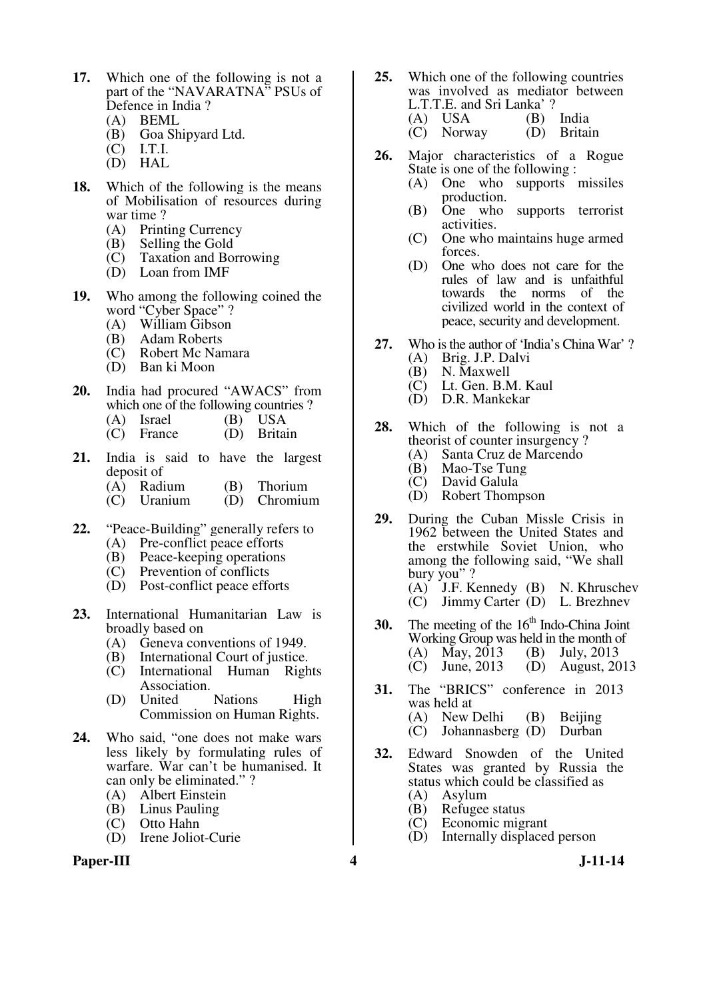- **17.** Which one of the following is not a part of the "NAVARATNA" PSUs of Defence in India ?
	- (A) BEML
	- (B) Goa Shipyard Ltd.
	- I.T.I.
	- (D) HAL
- **18.** Which of the following is the means of Mobilisation of resources during war time ?
	- (A) Printing Currency
	- (B) Selling the Gold
	- (C) Taxation and Borrowing
	- (D) Loan from IMF
- **19.** Who among the following coined the word "Cyber Space" ?
	- (A) William Gibson
	- (B) Adam Roberts
	- (C) Robert Mc Namara
	- (D) Ban ki Moon
- **20.** India had procured "AWACS" from which one of the following countries ?
	- (A) Israel (B) USA<br>
	(C) France (D) Britain
	- $(C)$  France
- **21.** India is said to have the largest deposit of
	- (A) Radium (B) Thorium
	- (C) Uranium (D) Chromium
- **22.** "Peace-Building" generally refers to
	- (A) Pre-conflict peace efforts
	- (B) Peace-keeping operations
	- (C) Prevention of conflicts
	- (D) Post-conflict peace efforts
- **23.** International Humanitarian Law is broadly based on
	- (A) Geneva conventions of 1949.
	- (B) International Court of justice.
	- (C) International Human Rights Association.
	- (D) United Nations High Commission on Human Rights.
- **24.** Who said, "one does not make wars less likely by formulating rules of warfare. War can't be humanised. It can only be eliminated." ?
	- (A) Albert Einstein
	- (B) Linus Pauling
	- (C) Otto Hahn
	- (D) Irene Joliot-Curie

#### Paper-III **1.11-14** J-11-14

- **25.** Which one of the following countries was involved as mediator between L.T.T.E. and Sri Lanka' ?<br>(A) USA (B)
	- (B) India<br>(D) Britain  $\overrightarrow{C}$  Norway
- **26.** Major characteristics of a Rogue State is one of the following :
	- (A) One who supports missiles production.
	- (B) One who supports terrorist activities.
	- (C) One who maintains huge armed forces.
	- (D) One who does not care for the rules of law and is unfaithful towards the norms of the civilized world in the context of peace, security and development.
- **27.** Who is the author of 'India's China War' ?
	- (A) Brig. J.P. Dalvi
	- $(B)$  N. Maxwell<br>(C) Lt. Gen. B.
	- Lt. Gen. B.M. Kaul
	- (D) D.R. Mankekar
- **28.** Which of the following is not a theorist of counter insurgency ?
	- (A) Santa Cruz de Marcendo
	- (B) Mao-Tse Tung<br>(C) David Galula
	- David Galula
	- (D) Robert Thompson
- **29.** During the Cuban Missle Crisis in 1962 between the United States and the erstwhile Soviet Union, who among the following said, "We shall bury you"? (A) J.F. Kennedy (B) N. Khruschev (C) Jimmy Carter (D) L. Brezhnev
- **30.** The meeting of the  $16<sup>th</sup>$  Indo-China Joint Working Group was held in the month of (A) May, 2013 (B) July, 2013 (C) June, 2013 (D) August, 2013
- **31.** The "BRICS" conference in 2013 was held at (A) New Delhi (B) Beijing<br>(C) Johannasberg (D) Durban  $(C)$  Johannasberg  $(D)$
- **32.** Edward Snowden of the United States was granted by Russia the status which could be classified as
	- (A) Asylum
	- (B) Refugee status<br>(C) Economic mig
	- Economic migrant
	- (D) Internally displaced person
-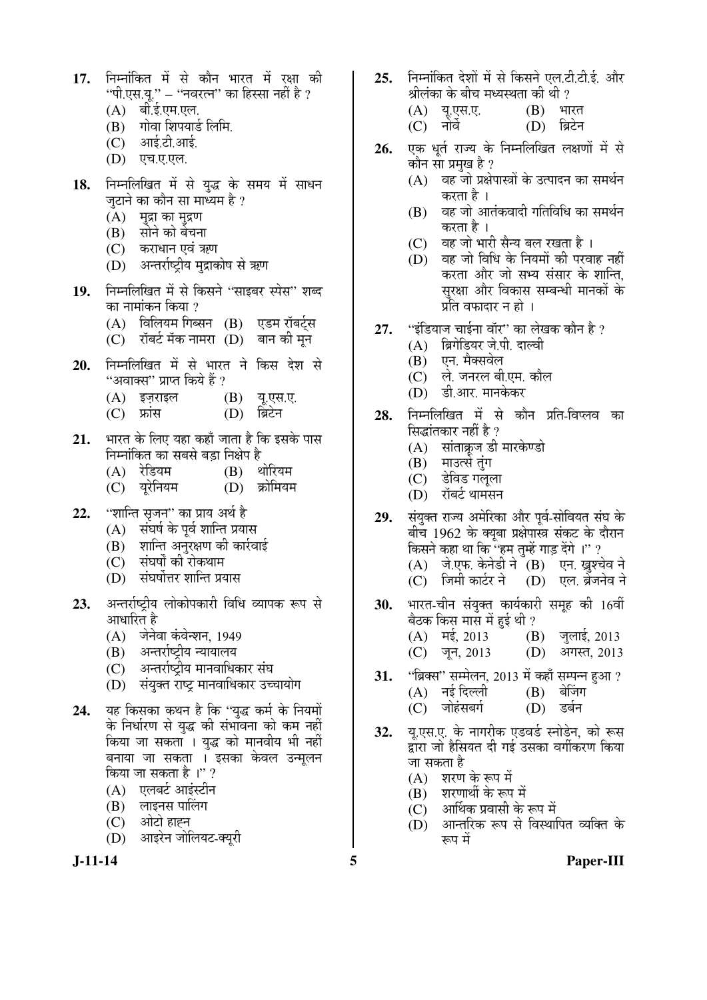- 17. निम्नांकित में से कौन भारत में रक्षा की "पी.एस.यू." – "नवरत्न" का हिस्सा नहीं है ?
	- $(A)$  बी.ई.एम.एल.
	- (B) गोवा शिपयार्ड लिमि.
	- $(C)$  आई.टी.आई.
	- (D) एच.ए.एल.
- 18. निम्नलिखित में से युद्ध के समय में साधन ज़टाने का कौन सा माध्यम है ?
	- $(A)$  मुद्रा का मुद्रण
	- (B) सोने को बेचना
	- (C) कराधान एवं ऋण
	- (D) अन्तर्राष्टीय मद्राकोष से ऋण
- 19. निम्नलिखित में से किसने "साइबर स्पेस" शब्द का नामांकन किया ?
	- (A) विलियम गिब्सन (B) एडम रॉबर्ट्स
	- $(C)$  रॉबर्ट मॅक नामरा $(D)$  बान की मून
- 20. निम्नलिखित में से भारत ने किस देश से "अवाक्स" प्राप्त किये हैं ?
	- (A) इज़राइल (B) यू.एस.ए.
	- (C) फ्रांस (D) ब्रिटेन
- 21. भारत के लिए यहा कहाँ जाता है कि इसके पास ×®Ö´®ÖÖÓ×ÛúŸÖ ÛúÖ ÃÖ²ÖÃÖê ²Ö›ÌüÖ ×®ÖõÖê¯Ö Æîü
	-
	- (A) रेडियम (B) थोरियम<br>(C) युरेनियम (D) क्रोमियम  $(D)$  क्रोमियम
- 22. "शान्ति सृजन" का प्राय अर्थ है
	- $(A)$  संघर्ष के पूर्व शान्ति प्रयास
	- (B) शान्ति अनुरक्षण की कार्रवाई
	- (C) संघर्षों की रोकथाम
	- (D) संघर्षोत्तर शान्ति प्रयास
- 23. अन्तर्राष्ट्रीय लोकोपकारी विधि व्यापक रूप से आधारित है
	- (A) जेनेवा कंवेन्शन, 1949
	- (B) अन्तर्राष्ट्रीय न्यायालय
	- (C) अन्तर्राष्ट्रीय मानवाधिकार संघ
	- (D) संयक्त राष्ट मानवाधिकार उच्चायोग
- 24. यह किसका कथन है कि "युद्ध कर्म के नियमों के निर्धारण से युद्ध की संभावना को कम नहीं किया जा सकता । युद्ध को मानवीय भी नहीं बनाया जा सकता । इसका केवल उन्मूलन किया जा सकता है।" ?
	- (A) एलबर्ट आइंस्टीन
	- $(B)$  लाइनस पालिंग
	- (C) ओटो हाह्न
	- (D) आइरेन जोलियट-क्युरी
- **25.** निम्नोंकित देशों में से किसने एल.टी.टी.ई. और श्रीलंका के बीच मध्यस्थता की थी ?
	- (A) यू.एस.ए. (B) भारत (C) नोर्वे (D) ब्रिटेन
	-
- 26. एक धूर्त राज्य के निम्नलिखित लक्षणों में से कौन सा प्रमुख है ?
	- $(A)$  वह जो प्रक्षेपास्त्रों के उत्पादन का समर्थन करता है ।
	- $(B)$  वह जो आतंकवादी गतिविधि का समर्थन करता है ।
	- (C) वह जो भारी सैन्य बल रखता है।
	- $(D)$  वह जो विधि के नियमों की परवाह नहीं करता और जो सभ्य संसार के शान्ति, सुरक्षा और विकास सम्बन्धी मानकों के प्रति वफादार न हो ।
- 27. "इंडियाज चाईना वॉर" का लेखक कौन है ?
	- (A) ब्रिगेडियर जे.पी. दाल्वी
	- (B) एन. मैक्सवेल
	- (C) ले. जनरल बी.एम. कौल
	- (D) डी.आर. मानकेकर
- 28. निम्नलिखित में से कौन प्रति-विप्लव का सिद्धांतकार नहीं है ?
	- (A) सांताक्रूज डी मारकेण्डो
	- (B) माउत्से तंग
	- (C) डेविड गलुला
	- (D) रॉबर्ट थामसन

29. संयुक्त राज्य अमेरिका और पूर्व-सोवियत संघ के बीच 1962 के क्यूबा प्रक्षेपास्त्र संकट के दौरान किसने कहा था कि "हम तुम्हें गाड़ देंगे ।" ?  $(A)$  जे.एफ. केनेडी ने  $(B)$  एन. ख्रुश्चेव ने (C) जिमी कार्टर ने (D) एल. ब्रेजनेव ने

- **30.** भारत-चीन संयुक्त कार्यकारी समूह की 16वीं बैठक किस मास में हई थी ?
	- $(A)$   $\overline{H}$ ई, 2013  $(B)$  जुलाई, 2013 (C) जून, 2013 (D) अगस्त, 2013
	-
- **31.** "ब्रिक्स" सम्मेलन, 2013 में कहाँ सम्पन्न हुआ ?<br>(A) नई दिल्ली (B) बेजिंग
	- (A) नई<sup>-</sup>दिल्ली (B) बेजिंग<br>(C) जोहंसबर्ग (D) डर्बन (C) जोहंसबर्ग
- **32.** य.एस.ए. के नागरीक एडवर्ड स्नोडेन, को रूस
	- द्वारा जो हैसियत दी गई उसका वर्गीकरण किया जा सकता है
		- $(A)$  शरण के रूप में
		- $(B)$  शरणार्थी के रूप में
		- $\overline{C}$ ) आर्थिक प्रवासी के रूप में<br>(D) आन्तरिक रूप से विस्था
		- आन्तरिक रूप से विस्थापित व्यक्ति के रूप में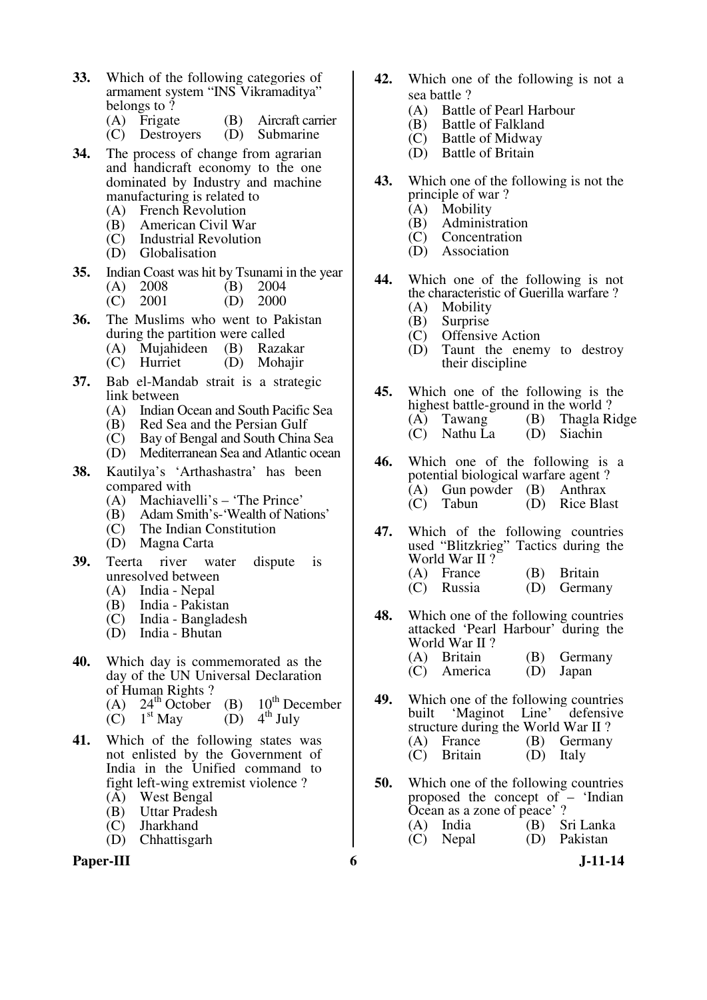- **33.** Which of the following categories of armament system "INS Vikramaditya" belongs to ?
	- (A) Frigate (B) Aircraft carrier<br>(C) Destroyers (D) Submarine
	- $(C)$  Destroyers
- **34.** The process of change from agrarian and handicraft economy to the one dominated by Industry and machine manufacturing is related to
	- (A) French Revolution
	- (B) American Civil War
	- (C) Industrial Revolution
	- (D) Globalisation
- **35.** Indian Coast was hit by Tsunami in the year (A) 2008 (B) 2004

|  | $(C)$ 2001 |  | $(D)$ 2000 |
|--|------------|--|------------|
|--|------------|--|------------|

- **36.** The Muslims who went to Pakistan during the partition were called
	- (A) Mujahideen (B) Razakar
	- (C) Hurriet (D) Mohajir
- **37.** Bab el-Mandab strait is a strategic link between
	- (A) Indian Ocean and South Pacific Sea<br>(B) Red Sea and the Persian Gulf
	- (B) Red Sea and the Persian Gulf<br>(C) Bay of Bengal and South China
	- Bay of Bengal and South China Sea
	- (D) Mediterranean Sea and Atlantic ocean
- **38.** Kautilya's 'Arthashastra' has been compared with
	- (A) Machiavelli's 'The Prince'
	- (B) Adam Smith's-'Wealth of Nations'<br>(C) The Indian Constitution
	- The Indian Constitution
	- (D) Magna Carta
- **39.** Teerta river water dispute is unresolved between<br>(A) India - Nepal
	- (A) India Nepal<br>(B) India Pakist
	- (B) India Pakistan
	- India Bangladesh
	- (D) India Bhutan
- **40.** Which day is commemorated as the day of the UN Universal Declaration of Human Rights ? (A)  $24^{th}$  October (B)  $10^{th}$  December<br>(C)  $1^{st}$  May (D)  $4^{th}$  July
	- $\tilde{C}$  1<sup>st</sup> May
- **41.** Which of the following states was not enlisted by the Government of India in the Unified command to fight left-wing extremist violence ?
	- (A) West Bengal
	- (B) Uttar Pradesh
	- (C) Jharkhand
	- (D) Chhattisgarh

#### **Paper-III 6** J-11-14

- **42.** Which one of the following is not a sea battle ?
	- (A) Battle of Pearl Harbour<br>(B) Battle of Falkland
	- Battle of Falkland
	- (C) Battle of Midway
	- (D) Battle of Britain
- **43.** Which one of the following is not the principle of war ?
	- (A) Mobility
	- (B) Administration<br>(C) Concentration
	- (C) Concentration<br>(D) Association
	- Association
- **44.** Which one of the following is not the characteristic of Guerilla warfare ?<br>(A) Mobility
	- (A) Mobility<br>(B) Surprise
	- **Surprise**
	- (C) Offensive Action
	- (D) Taunt the enemy to destroy their discipline
- **45.** Which one of the following is the highest battle-ground in the world ? (A) Tawang (B) Thagla Ridge (C) Nathu La (D) Siachin
- **46.** Which one of the following is a potential biological warfare agent ? (A) Gun powder (B) Anthrax (C) Tabun (D) Rice Blast
- **47.** Which of the following countries used "Blitzkrieg" Tactics during the World War II ? (A) France (B) Britain
	- (C) Russia (D) Germany
- **48.** Which one of the following countries attacked 'Pearl Harbour' during the World War II ? (A) Britain (B) Germany<br>
(C) America (D) Japan  $(C)$  America
- **49.** Which one of the following countries<br>built 'Maginot Line' defensive 'Maginot structure during the World War II?<br>(A) France (B) Germany (A) France (B) Germany<br>(C) Britain (D) Italy  $(D)$  Italy
- **50.** Which one of the following countries proposed the concept of – 'Indian Ocean as a zone of peace' ?<br>
(A) India (B) Sri Lanka  $(A)$  India<br> $(C)$  Nepal  $(D)$  Pakistan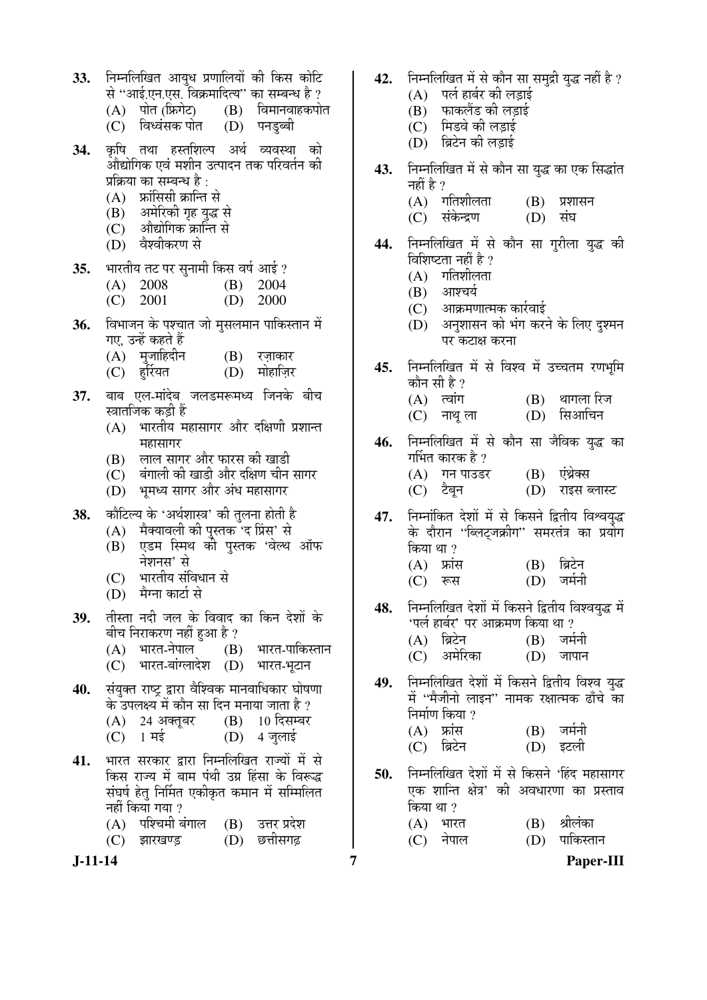- 33. FEHR FER 3128 HOMBER 15 TO FER 50 E से ''आई.एन.एस. विक्रमादित्य'' का सम्बन्ध है ?<br>(A) पोत (फ्रिगेट) (B) विमानवाहकपो
	- (B) विमानवाहकपोत<br>(D) पनड़ब्बी
	- (C) विध्वंसक पोत
- **34.** कृषि तथा हस्तशिल्प अर्थ व्यवस्था को ओद्योगिक एवं मशीन उत्पादन तक परिवर्तन की प्रक्रिया का सम्बन्ध है $\cdot$ 
	- $(A)$  क्रांसिसी क्रान्ति से
	-
	- (B) अमेरिकी गृह युद्ध से<br>(C) औद्योगिक क्रान्ति से - औद्योगिक क्रान्ति से
	- (D) वैश्वीकरण से
- 35. भारतीय तट पर सनामी किस वर्ष आई ?
	- (A) 2008 (B) 2004
	- (C) 2001 (D) 2000
- **36.** विभाजन के पश्चात जो मुसलमान पाकिस्तान में गए, उन्हें कहते हैं
	-
	- (A) मुजाहिदीन (B) रज़ाकार<br>(C) हरियत (D) मोहाजिर (C) हर्रियत
- **37.** बाब एल-मांदेब जलडमरूमध्य जिनके बीच स्त्रातजिक कडी हैं
	- $(A)$  भारतीय महासागर और दक्षिणी प्रशान्त महासागर
	- (B) लाल सागर और फारस की खाडी
	- $(C)$  बंगाली की खाडी और दक्षिण चीन सागर
	- (D) भूमध्य सागर और अंध महासागर
- 38. कौटिल्य के 'अर्थशास्त्र' की तुलना होती है
	- (A) मैक्यावली की पुस्तक 'द प्रिंस' से
	- $(B)$  एडम स्मिथ को पुस्तक 'वेल्थ ऑफ नेशनस' से
	- (C) भारतीय संविधान से
	- $(D)$  मैग्ना कार्टा से
- 39. तीस्ता नदी जल के विवाद का किन देशों के बीच निराकरण नहीं हुआ है ?
	- $(A)$  भारत-नेपाल  $(B)$  भारत-पाकिस्तान
	- (C) भारत-बांग्लादेश (D) भारत-भूटान
- 40. संयुक्त राष्ट्र द्वारा वैश्विक मानवाधिकार घोषणा के उपलक्ष्य में कौन सा दिन मनाया जाता है ?  $(A)$  24 अक्तुबर  $(B)$  10 दिसम्बर  $(C)$  1 मई  $(D)$  4 जुलाई
- 41. भारत सरकार द्वारा निम्नलिखित राज्यों में से किस राज्य में बाम पंथी उग्र हिंसा के विरूद्ध संघर्ष हेतु निर्मित एकीकृत कमान में सम्मिलित नहीं किया गया ?
	- (A) पश्चिमी बंगाल (B) उत्तर प्रदेश
	- (C) झारखण्ड़ (D) छत्तीसगढ
- 
- 42. FHHलिखित में से कौन सा समुद्री युद्ध नहीं है ?
	- $(A)$  पर्ल हार्बर की लड़ाई
	- (B) फाकलैंड की लड़ाई
	- (C) मिडवे की लडाई
	- (D) ब्रिटेन की लड़ाई
- 43. Fiम्नलिखित में से कौन सा युद्ध का एक सिद्धांत नहीं है ?
	- (A) गतिशीलता (B) प्रशासन<br>(C) संकेन्द्रण (D) संघ
	- (C) संकेन्द्रण (D)
- 44. निम्नलिखित में से कौन सा गुरीला युद्ध की विशिष्टता नहीं है ?
	- $(A)$  गतिशीलता
	- $(B)$  आश्चर्य
	- $(C)$  । आक्रमणात्मक कार्रवाई
	- (D) अनुशासन को भंग करने के लिए दुश्मन पर कटाक्ष करना
- 45. निम्नलिखित में से विश्व में उच्चतम रणभूमि कौन सी है ?
	- $(A)$  त्वांग  $(B)$  थागला रिज
	- (C) नाथूला (D) सिआचिन
- 46. निम्नलिखित में से कौन सा जैविक युद्ध का गर्भित कारक है ?
	- (A) गन पाउडर (B) एंथ्रेक्स (C) टैबन (D) राइस ब्लास्ट
- **47.** निम्नांकित देशों में से किसने द्वितीय विश्वयुद्ध के दौरान ''ब्लिट्जक्रीग'' समरतंत्र का प्रयोग किया था ?
	- $(A)$  फ्रांस  $(B)$  ब्रिटेन (C) रूस (D) जर्मनी
- 48. निम्नलिखित देशों में किसने द्वितीय विश्वयुद्ध में  $\cdot$ पर्ल हार्बर' पर आक्रमण किया था ? (A) ब्रिटेन (B) जर्मनी<br>(C) अमेरिका (D) जापान
	- (C) अमेरिका (D)
- 49. निम्नलिखित देशों में किसने द्वितीय विश्व यद्ध में ''मैजीनो लाइन'' नामक रक्षात्मक ढाँचे का निर्माण किया ?
	- (A) फ्रांस (B) जर्मनी<br>(C) ब्रिटेन (D) इटली (C) ब्रिटेन
- 50. **निम्नलिखित देशों में से किसने 'हिंद महासागर** एक शान्ति क्षेत्र' की अवधारणा का प्रस्ताव किया था  $\gamma$ 
	- $(A)$  भारत  $(B)$  श्रीलंका (C) नेपाल (D) पाकिस्तान
- **J-11-14 7 Paper-III**
-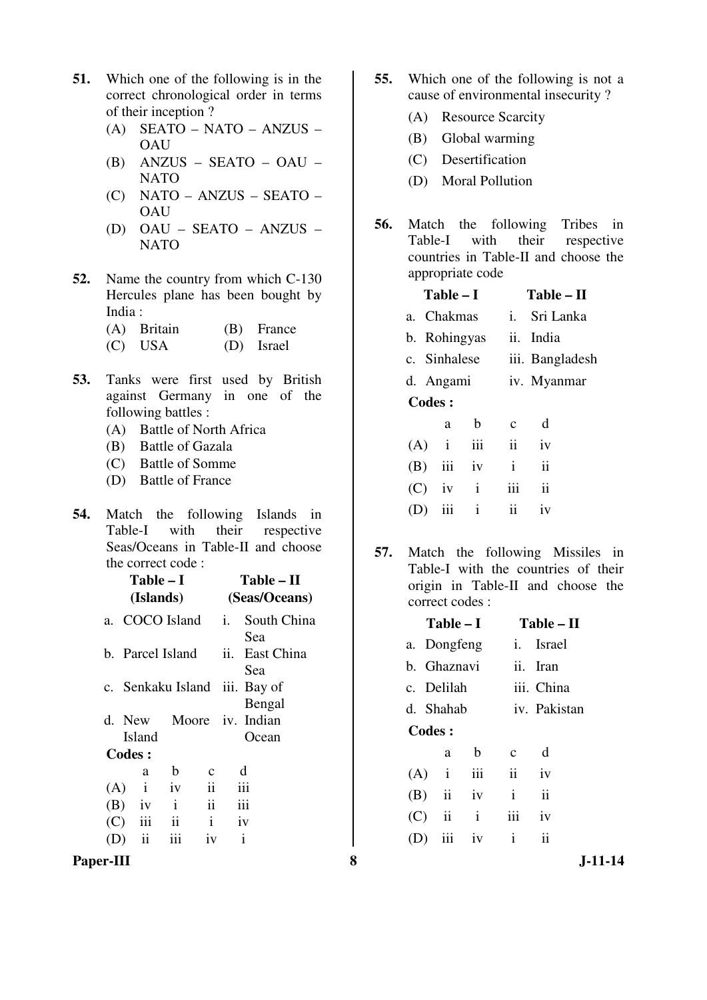- **51.** Which one of the following is in the correct chronological order in terms of their inception ?
	- (A) SEATO NATO ANZUS OAU
	- (B) ANZUS SEATO OAU NATO
	- (C) NATO ANZUS SEATO **OAU**
	- (D) OAU SEATO ANZUS NATO
- **52.** Name the country from which C-130 Hercules plane has been bought by India :

| (A) Britain | (B) France |
|-------------|------------|
| $(C)$ USA   | (D) Israel |

- **53.** Tanks were first used by British against Germany in one of the following battles :
	- (A) Battle of North Africa
	- (B) Battle of Gazala
	- (C) Battle of Somme
	- (D) Battle of France
- **54.** Match the following Islands in Table-I with their respective Seas/Oceans in Table-II and choose the correct code :

|     | Table – I<br>(Islands)               |              | Table – II<br>(Seas/Oceans) |                   |                           |  |
|-----|--------------------------------------|--------------|-----------------------------|-------------------|---------------------------|--|
|     | a. COCO Island <i>i.</i> South China |              |                             |                   | Sea                       |  |
|     | b. Parcel Island                     |              | ii.                         | East China<br>Sea |                           |  |
|     | c. Senkaku Island iii. Bay of        |              |                             |                   | Bengal                    |  |
|     | d. New<br><b>Island</b>              |              |                             |                   | Moore iv. Indian<br>Ocean |  |
|     | Codes:                               |              |                             |                   |                           |  |
|     | a                                    | $\mathbf b$  | с                           |                   | d                         |  |
| (A) | $\mathbf{i}$                         | iv           | $\ddot{\mathbf{i}}$         |                   | iii                       |  |
|     | $(B)$ iv                             | $\mathbf{i}$ | $\mathbf{ii}$               |                   | iii                       |  |
| (C) | iii                                  | ii           | $\mathbf{i}$                |                   | iv                        |  |
|     | ii                                   |              | iv                          |                   | $\mathbf{i}$              |  |

Paper-III 8 **8** J-11-14

- **55.** Which one of the following is not a cause of environmental insecurity ?
	- (A) Resource Scarcity
	- (B) Global warming
	- (C) Desertification
	- (D) Moral Pollution
- **56.** Match the following Tribes in Table-I with their respective countries in Table-II and choose the appropriate code

|               | $Table - I$  |              | Table – II          |                 |  |  |
|---------------|--------------|--------------|---------------------|-----------------|--|--|
|               | a. Chakmas   |              |                     | i. Sri Lanka    |  |  |
| b. Rohingyas  |              |              |                     | ii. India       |  |  |
|               | c. Sinhalese |              |                     | iii. Bangladesh |  |  |
| d. Angami     |              |              |                     | iv. Myanmar     |  |  |
| <b>Codes:</b> |              |              |                     |                 |  |  |
|               | a            | b            | C                   | d               |  |  |
| $(A)$ i       |              | iii          | $\ddot{\mathbf{i}}$ | iv              |  |  |
| (B)           | iii          | iv           | i                   | $\ddot{\rm n}$  |  |  |
| (C)           | iv           | $\mathbf{i}$ | iii                 | $\mathbf{ii}$   |  |  |
|               |              |              |                     |                 |  |  |

**57.** Match the following Missiles in Table-I with the countries of their origin in Table-II and choose the correct codes :

(D) iii i ii iv

|               | $Table - I$             |              |              | Table – II          |
|---------------|-------------------------|--------------|--------------|---------------------|
| a. Dongfeng   |                         |              |              | <i>i</i> . Israel   |
| b. Ghaznavi   |                         |              |              | ii. Iran            |
| c. Delilah    |                         |              | iii. China   |                     |
| d. Shahab     |                         |              | iv. Pakistan |                     |
| <b>Codes:</b> |                         |              |              |                     |
|               | a                       | b            | C            | d                   |
|               | $(A)$ i                 | iii          | ii           | iv                  |
| (B)           | $\overline{\mathbf{u}}$ | iv           | i            | $\ddot{\mathbf{i}}$ |
| (C)           | ii                      | $\mathbf{i}$ | iii          | iv                  |
|               | iii                     | iv           | $\mathbf{i}$ | $\ddot{\mathbf{i}}$ |
|               |                         |              |              |                     |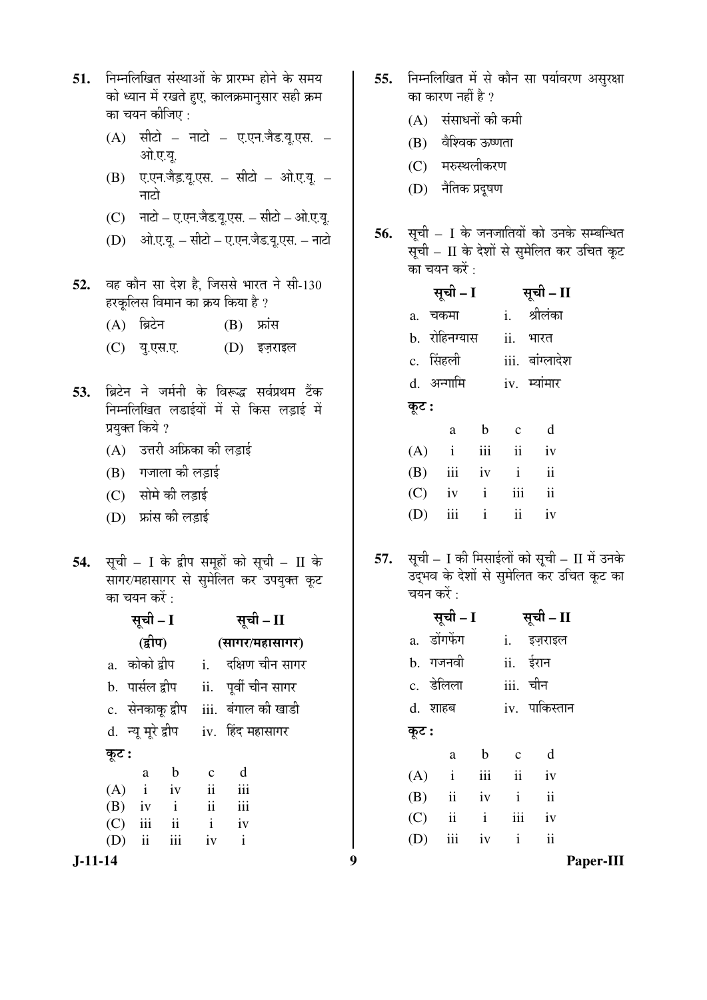- 51. FEHMGE संस्थाओं के प्रारम्भ होने के समय को ध्यान में रखते हुए, कालक्रमानुसार सही क्रम का चयन कीजिए :
	- $(A)$  सीटो नाटो ए.एन.जैड.यू.एस. ओ.ए.यु.
	- $(B)$  ए.एन.जैड़.यू.एस. सीटो ओ.ए.यू. नाटो
	- $(C)$  नाटो ए.एन.जैड.यू.एस. सीटो ओ.ए.यू.
	- $(D)$   $\hat{P}$  =  $\hat{P}$  =  $\hat{P}$  +  $\hat{P}$  =  $\hat{P}$  =  $\hat{P}$  =  $\hat{P}$  =  $\hat{P}$
- 52. वह कौन सा देश है. जिससे भारत ने सी-130 हरकृलिस विमान का क्रय किया है ?
	- $(A)$  ब्रिटेन  $(B)$  फ्रांस
	- (C) यु.एस.ए. (D) इज़राइल
- 53. ब्रिटेन ने जर्मनी के विरूद्ध सर्वप्रथम टैंक निम्नलिखित लडाईयों में से किस लडाई में प्रयुक्त किये ?
	- $(A)$  उत्तरी अफ्रिका की लडाई
	- $(B)$  गजाला की लडाई
	- (C) सोमे की लड़ाई
	- (D) फ्रांस की लडाई
- 54. सूची I के द्वीप समूहों को सूची II के ÄÖNK) सं सुमेलित कर उपयुक्त कूट का चयन करें :

**J-11-14 9 Paper-III** सूची – I **(**«ü߯Ö**)**  सूची – II **(**ÃÖÖÝÖ¸ü/´ÖÆüÖÃÖÖÝÖ¸ü**)**  a. कोको द्वीप i. दक्षिण चीन सागर b. पार्सल द्वीप ii. पूर्वी चीन सागर c. सेनकाकू द्वीप iii. बंगाल की खाडी d. न्यू मूरे द्वीप iv. हिंद महासागर कूट : a b c d  $(A)$  i iv ii iii (B) iv i ii iii (C) iii ii i iv (D) ii iii iv i

- 55. निम्नलिखित में से कौन सा पर्यावरण असुरक्षा का कारण नहीं है ?
	- $(A)$  संसाधनों की कमी
	- (B) वैश्विक ऊष्णता
	- (C) मरुस्थलीकरण
	- (D) नैतिक प्रदुषण
- **56.** सूची I के जनजातियों को उनके सम्बन्धित सूची – II के देशों से सुमेलित कर उचित कूट का चयन करें :

|       | सूची – I      |              |                         | सूची – II               |
|-------|---------------|--------------|-------------------------|-------------------------|
|       | a. चकमा       |              |                         | i. श्रीलंका             |
|       | b. रोहिनग्यास |              | ii.                     | भारत                    |
|       | c. सिंहली     |              |                         | iii. बांग्लादेश         |
|       | d. अन्गामि    |              |                         | iv. म्यांमार            |
| कूट : |               |              |                         |                         |
|       | a             | $\mathbf b$  | $\mathbf{C}$            | d                       |
|       | $(A)$ i       | iii          | $\overline{\mathbf{u}}$ | iv                      |
|       | $(B)$ iii     | iv           | $\mathbf{i}$            | $\mathbf{ii}$           |
|       | $(C)$ iv      | $\mathbf{i}$ | iii                     | $\overline{\mathbf{i}}$ |
| (D)   | iii           | $\mathbf{i}$ | ii                      | iv                      |

**57.** सूची – I की मिसाईलों को सूची – II में उनके उद्भव के देशों से सुमेलित कर उचित कूट का चयन करें $\cdot$ 

|       | सूची – I                |              | सूची - II    |               |  |
|-------|-------------------------|--------------|--------------|---------------|--|
|       | a. डोंगफेंग             |              |              | i. इज़राइल    |  |
|       | b. गजनवी                |              |              | ii. ईरान      |  |
|       | c. डेलिला               |              |              | iii. चीन      |  |
|       | d. शाहब                 |              |              | iv. पाकिस्तान |  |
| कूट : |                         |              |              |               |  |
|       | a                       | $\mathbf b$  | $\mathbf{c}$ | d             |  |
| (A)   | $\mathbf{i}$            |              | iii ii       | iv            |  |
| (B)   | $\ddot{\mathbf{i}}$     | iv           | $\mathbf{i}$ | ii            |  |
| (C)   | $\overline{\mathbf{i}}$ | $\mathbf{i}$ | iii          | iv            |  |
| (D)   | iii                     | iv           | $\mathbf{i}$ | $\mathbf{ii}$ |  |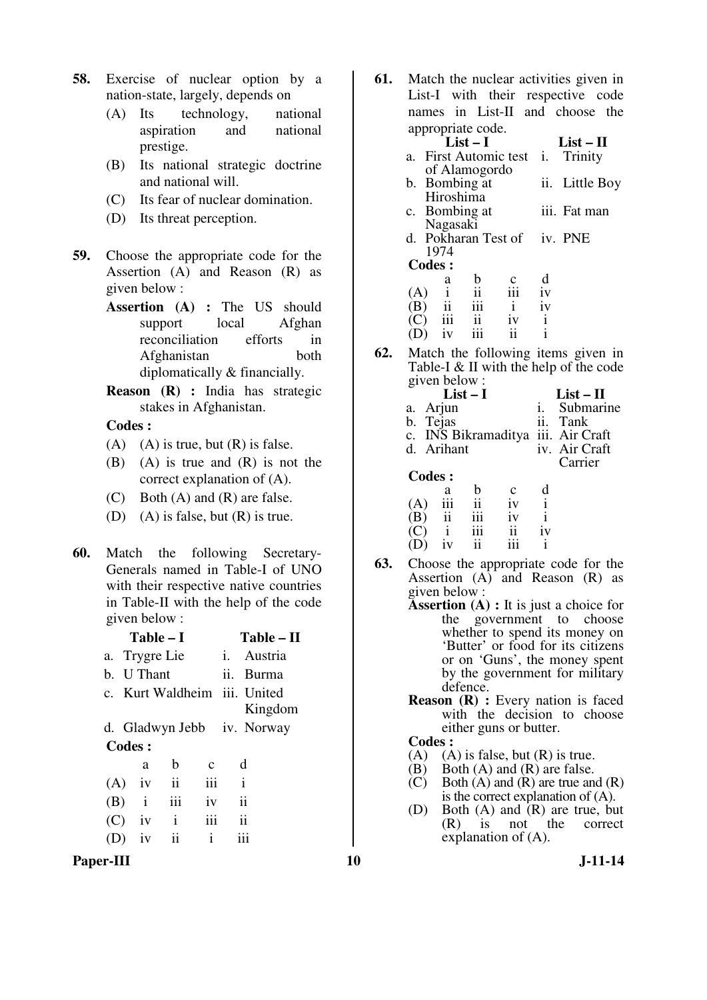- **58.** Exercise of nuclear option by a nation-state, largely, depends on
	- (A) Its technology, national aspiration and national prestige.
	- (B) Its national strategic doctrine and national will.
	- (C) Its fear of nuclear domination.
	- (D) Its threat perception.
- **59.** Choose the appropriate code for the Assertion (A) and Reason (R) as given below :
	- **Assertion (A) :** The US should support local Afghan reconciliation efforts in Afghanistan both diplomatically & financially.
	- **Reason (R) :** India has strategic stakes in Afghanistan.

**Codes :** 

- (A) (A) is true, but  $(R)$  is false.
- (B) (A) is true and (R) is not the correct explanation of (A).
- (C) Both (A) and (R) are false.
- (D) (A) is false, but (R) is true.
- **60.** Match the following Secretary-Generals named in Table-I of UNO with their respective native countries in Table-II with the help of the code given below :

|               | Table – I     |              | Table – II                 |                              |               |         |
|---------------|---------------|--------------|----------------------------|------------------------------|---------------|---------|
|               | a. Trygre Lie |              | i. Austria                 |                              |               |         |
|               | b. U Thant    |              |                            | ii.                          | <b>Burma</b>  |         |
|               |               |              |                            | c. Kurt Waldheim iii. United |               |         |
|               |               |              |                            |                              |               | Kingdom |
|               |               |              | d. Gladwyn Jebb iv. Norway |                              |               |         |
| <b>Codes:</b> |               |              |                            |                              |               |         |
|               |               | a            | b                          | $\mathbf c$                  | d             |         |
|               | (A)           | iv           | $\overline{\mathbf{u}}$    | iii                          | $\mathbf{i}$  |         |
|               | (B)           | $\mathbf{i}$ | iii                        | iv                           | ii            |         |
|               | (C)           | iv           | Ť                          | iii                          | $\mathbf{ii}$ |         |
|               |               | iv           | ii                         | i                            |               |         |
|               |               |              |                            |                              |               |         |

Paper-III **10** J-11-14

**61.** Match the nuclear activities given in List-I with their respective code names in List-II and choose the appropriate code.

|                           | appropriate coue.                                                                          |               |                          |              |              |
|---------------------------|--------------------------------------------------------------------------------------------|---------------|--------------------------|--------------|--------------|
|                           |                                                                                            | $List-I$      |                          |              | $List-II$    |
|                           |                                                                                            |               | a. First Automic test i. |              | Trinity      |
|                           |                                                                                            | of Alamogordo |                          |              |              |
|                           | b. Bombing at                                                                              |               | ii. Little Boy           |              |              |
|                           | Hiroshima                                                                                  |               |                          |              |              |
|                           |                                                                                            | c. Bombing at |                          |              | iii. Fat man |
|                           | Nagasaki                                                                                   |               |                          |              |              |
|                           | d. Pokharan Test of iv. PNE                                                                |               |                          |              |              |
|                           | 1974                                                                                       |               |                          |              |              |
| <b>Codes:</b>             |                                                                                            |               |                          |              |              |
|                           | a                                                                                          | b             |                          | d            |              |
| (A)                       | $\begin{array}{cc}\n\sqrt{1} & \frac{1}{11} \\ \frac{1}{111} & \frac{1}{111}\n\end{array}$ | ii<br>iii     | $\frac{c}{111}$          | iv           |              |
| (B)                       |                                                                                            |               | $\mathbf{i}$             | iv           |              |
| $\left(\mathbf{C}\right)$ |                                                                                            | $\mathbf{ii}$ | 1V                       | $\mathbf{i}$ |              |
|                           | iv                                                                                         |               | ii                       |              |              |

**62.** Match the following items given in Table-I & II with the help of the code given below :

|            | $List-I$                | $List - II$ |              |  |                                    |
|------------|-------------------------|-------------|--------------|--|------------------------------------|
| a. Arjun   |                         |             |              |  | i. Submarine                       |
| b. Tejas   |                         |             |              |  | ii. Tank                           |
|            |                         |             |              |  | c. INS Bikramaditya iii. Air Craft |
| d. Arihant |                         |             |              |  | iv. Air Craft                      |
|            |                         |             |              |  | Carrier                            |
| Codes :    |                         |             |              |  |                                    |
|            | a                       | b           | $\mathbf{c}$ |  |                                    |
|            | iii                     | ii          | iv           |  |                                    |
|            | $\overline{\mathbf{u}}$ |             |              |  |                                    |

**63.** Choose the appropriate code for the Assertion  $(A)$  and Reason  $(R)$  as given below :

 (C) i iii ii iv  $(D)$  iv ii iii i

- **Assertion (A) :** It is just a choice for the government to choose whether to spend its money on 'Butter' or food for its citizens or on 'Guns', the money spent by the government for military defence.
- **Reason** (**R**) : Every nation is faced with the decision to choose either guns or butter.

### **Codes :**

- (A) (A) is false, but  $(R)$  is true.
- (B) Both (A) and (R) are false.
- $(C)$  Both  $(A)$  and  $(R)$  are true and  $(R)$ is the correct explanation of (A).
- (D) Both (A) and (R) are true, but<br>(R) is not the correct correct explanation of (A).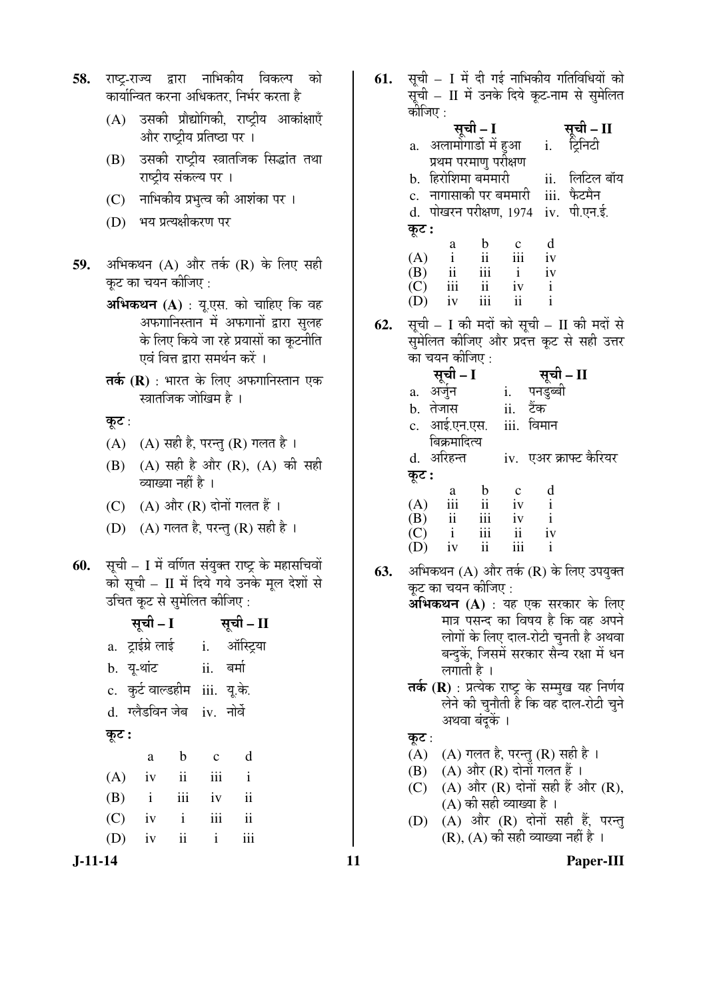- **58.** राष्ट-राज्य द्वारा नाभिकीय विकल्प को कार्यान्वित करना अधिकतर, निर्भर करता है
	- $(A)$  उसकी प्रौद्योगिकी, राष्ट्रीय आकांक्षाएँ और राष्ट्रीय प्रतिष्ठा पर ।
	- (B) उसकी राष्ट्रीय स्त्रातजिक सिद्धांत तथा राष्ट्रीय संकल्य पर ।
	- (C) नाभिकीय प्रभुत्व की आशंका पर ।
	- (D) भय प्रत्यक्षीकरण पर
- **59.** अभिकथन (A) और तर्क (R) के लिए सही कट का चयन कीजिए :
	- **अभिकथन (A)** : यू.एस. को चाहिए कि वह अफगानिस्तान में अफगानों द्वारा सुलह के लिए किये जा रहे प्रयासों का कूटनीति एवं वित्त द्वारा समर्थन करें ।
	- **तर्क (R)** : भारत के लिए अफगानिस्तान एक स्त्रातजिक जोखिम है ।

कूट:

- $(A)$   $(A)$  सही है, परन्तु  $(R)$  गलत है।
- (B) (A) सही है और (R), (A) की सही व्याख्या नहीं है ।
- (C)  $(A)$  और  $(R)$  दोनों गलत हैं।
- (D)  $(A)$  गलत है, परन्तु (R) सही है।
- **60.** सूची I में वर्णित संयुक्त राष्ट्र के महासचिवों को सची –  $II$  में दिये गये उनके मुल देशों से उचित कूट से सुमेलित कीजिए :

सूची – I सूची – II a. ट्राईग्रेलाई i. ऑस्ट्या b. यू-थांट ii. बर्मा c. कुर्ट वाल्डहीम iii. यू.के. d. ग्लैडविन जेब iv. नोर्वे कूट : a b c d  $(A)$  iv ii iii i (B) i iii iv ii  $(C)$  iv i iii ii  $(D)$  iv ii i iii

61. सची – I में दी गई नाभिकीय गतिविधियों को  $\overline{x}$ ची – II में उनके दिये कट-नाम से समेलित

|     | ्रून.<br>कीजिए : |                                                                        |                |          |             | $\mathbf{H}$ is a set of $\mathbb{R}^n$ and $\mathbb{R}^n$ and $\mathbb{R}^n$ and $\mathbb{R}^n$ |
|-----|------------------|------------------------------------------------------------------------|----------------|----------|-------------|--------------------------------------------------------------------------------------------------|
|     |                  |                                                                        |                |          |             |                                                                                                  |
|     |                  |                                                                        |                |          |             | <b>सूची – I</b> सूची – <b>II</b><br>a. अलामोगार्डो में हुआ     i.    ट्रिनिटी                    |
|     |                  | प्रथम परमाणु परीक्षण                                                   |                |          |             |                                                                                                  |
|     |                  | b. हिरोशिमा बममारी                                                     |                |          |             | ii. लिटिल बॉय                                                                                    |
|     |                  | c.  नागासाकी पर बममारी                                                 |                |          | iii. फैटमैन |                                                                                                  |
|     |                  |                                                                        |                |          |             | d. पोखरन परीक्षण, 1974 iv. पी.एन.ई.                                                              |
|     | कूट :            |                                                                        |                |          |             |                                                                                                  |
|     |                  |                                                                        |                |          |             |                                                                                                  |
|     |                  |                                                                        |                |          |             |                                                                                                  |
|     |                  |                                                                        |                |          |             |                                                                                                  |
|     |                  |                                                                        |                |          |             |                                                                                                  |
|     |                  | (A) $i$ ii ii iv (B) ii ii ii iv (C) iii ii iv i<br>(D) iv iii ii iv i |                |          |             |                                                                                                  |
| 62. |                  |                                                                        |                |          |             | सूची - I की मदों को सूची - II की मदों से                                                         |
|     |                  |                                                                        |                |          |             | सुमेलित कीजिए और प्रदत्त कूट से सही उत्तर                                                        |
|     |                  | का चयन कीजिए :                                                         |                |          |             |                                                                                                  |
|     |                  |                                                                        |                |          |             |                                                                                                  |
|     |                  |                                                                        |                |          |             |                                                                                                  |
|     |                  | सूचा – I सूची – II<br>a. अर्जुन      i.   पनडुब्बी<br>b  तेजाए         |                |          |             |                                                                                                  |
|     |                  | b. तेजास                                                               |                | ii. टैंक |             |                                                                                                  |
|     |                  | c. आई.एन.एस.                                                           |                |          | iii. विमान  |                                                                                                  |
|     |                  | बिक्रमादित्य                                                           |                |          |             |                                                                                                  |
|     |                  |                                                                        |                |          |             | d. अरिहन्त       iv. एअर क्राफ्ट कैरियर                                                          |
|     | कूट :            |                                                                        |                |          |             |                                                                                                  |
|     |                  | a                                                                      | $\mathbf{b}$ c |          | $\mathbf d$ |                                                                                                  |

|     | ä             | D   | С   | 0  |
|-----|---------------|-----|-----|----|
| (A) | iii           | 11  | iv  |    |
| (B) | $\mathbf{ii}$ | iii | iv  |    |
| (C) |               | iii | ii  | iv |
| (D) | iv            | ii  | 111 |    |
|     |               |     |     |    |

- **63.** अभिकथन (A) और तर्क (R) के लिए उपयुक्त कूट का चयन कीजिए :
	- $\overline{\mathbf{a}}$ भिकथन (A) : यह एक सरकार के लिए <u>मात्र पसन्द का विषय है कि वह अपने</u> लोगों के लिए दाल-रोटी चुनती है अथवा बन्दुकें, जिसमें सरकार सैन्य रक्षा में धन लगाती है $\perp$
	- **तर्क (R)** : प्रत्येक राष्ट्र के सम्मुख यह निर्णय -><br>लेने की चुनौती है कि वह दाल-रोटी चुने अथवा बंदुकें ।

कुट $:$ 

- (A)  $(A)$  गलत है, परन्तु (R) सही है।
- $(B)$   $(A)$  और  $(R)$  दोनों गलत हैं।
- $(C)$   $(A)$  और  $(R)$  दोनों सही हैं और  $(R)$ ,  $(A)$  की सही व्याख्या है ।
- (D) (A) और (R) दोनों सही हैं, परन्तु (R), (A) की सही व्याख्या नहीं है ।

**J-11-14 11 Paper-III**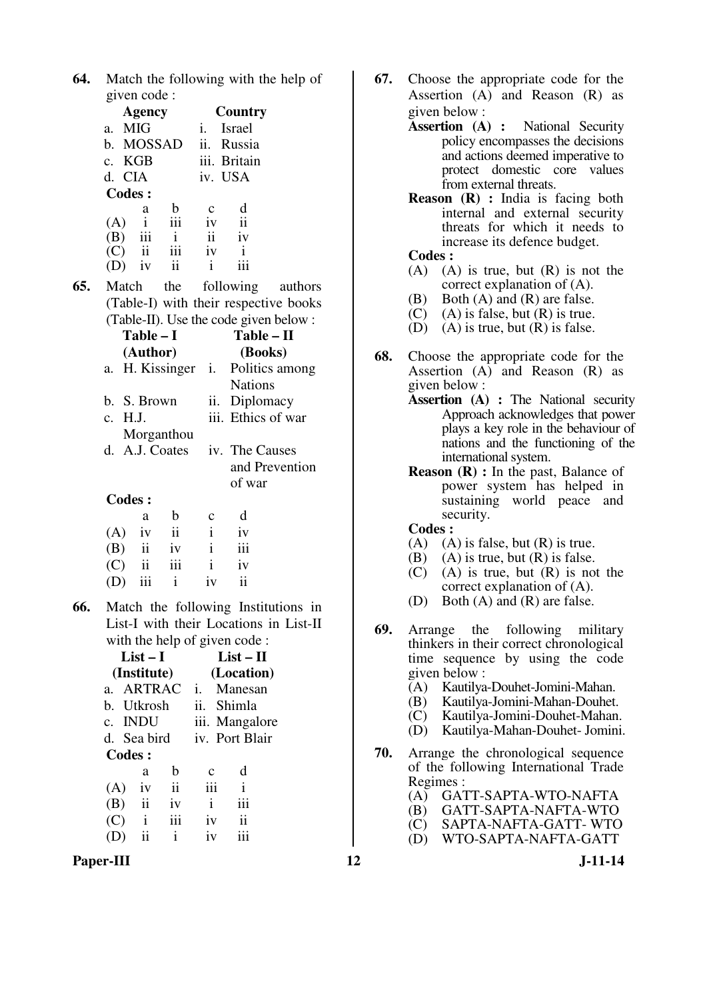| <b>64.</b> Match the following with the help of |
|-------------------------------------------------|
| given code :                                    |

|               | Agency                  |     | Country      |        |  |  |
|---------------|-------------------------|-----|--------------|--------|--|--|
| $a_{-}$       | <b>MIG</b>              |     | İ.           | Israel |  |  |
|               | b. MOSSAD               |     | ii.          | Russia |  |  |
|               | c. KGB                  |     | iii. Britain |        |  |  |
|               | d. CIA                  |     | iv. USA      |        |  |  |
| <b>Codes:</b> |                         |     |              |        |  |  |
|               | a                       | h   | C            | d      |  |  |
| (A)           | i                       | iii | iv           | ii     |  |  |
| (B)           | iii                     | i   | ii           | iv     |  |  |
| (C)           | $\overline{\mathbf{u}}$ | iii | iv           |        |  |  |
|               | 1V                      | ii  |              |        |  |  |
|               |                         |     |              |        |  |  |

**65.** Match the following authors (Table-I) with their respective books (Table-II). Use the code given below :

| Table – I       |     | $Table - II$       |
|-----------------|-----|--------------------|
| (Author)        |     | (Books)            |
| a. H. Kissinger |     | i. Politics among  |
|                 |     | <b>Nations</b>     |
| b. S. Brown     | 11. | Diplomacy          |
| c. H.J.         |     | iii. Ethics of war |
| Morganthou      |     |                    |
| d. A.J. Coates  |     | iv. The Causes     |
|                 |     | and Prevention     |
|                 |     | of war             |
| Codes:          |     |                    |
|                 |     |                    |

|     | a.           | b             | $\mathbf{c}$ | d                       |
|-----|--------------|---------------|--------------|-------------------------|
|     | $(A)$ iv ii  |               | $\mathbf{i}$ | iv                      |
|     | $(B)$ ii iv  |               | $\mathbf{i}$ | iii                     |
|     | $(C)$ ii iii |               | $\mathbf{i}$ | iv                      |
| (D) |              | $iii \quad i$ | iv           | $\overline{\mathbf{u}}$ |

**66.** Match the following Institutions in List-I with their Locations in List-II with the help of given code :

| $List-I$     |     |                             |               |                                                | List – H   |  |  |  |
|--------------|-----|-----------------------------|---------------|------------------------------------------------|------------|--|--|--|
| (Institute)  |     |                             |               |                                                | (Location) |  |  |  |
|              |     | Manesan<br>i.               |               |                                                |            |  |  |  |
|              |     |                             | ii.<br>Shimla |                                                |            |  |  |  |
| c. INDU      |     | iii. Mangalore              |               |                                                |            |  |  |  |
| d. Sea bird  |     |                             |               | iv. Port Blair                                 |            |  |  |  |
| Codes :      |     |                             |               |                                                |            |  |  |  |
| a            | h   |                             |               | d                                              |            |  |  |  |
| iv           | ii  |                             |               | $\mathbf{i}$                                   |            |  |  |  |
|              | iv  |                             |               | iii                                            |            |  |  |  |
| $\mathbf{i}$ | iii |                             |               | ii                                             |            |  |  |  |
| ii           | i   |                             |               |                                                |            |  |  |  |
|              | ii  | <b>ARTRAC</b><br>b. Utkrosh |               | $\mathbf c$<br>iii<br>$\mathbf{i}$<br>iv<br>iv |            |  |  |  |

Paper-III **12** J-11-14

- **67.** Choose the appropriate code for the Assertion (A) and Reason (R) as given below :
	- **Assertion (A) :** National Security policy encompasses the decisions and actions deemed imperative to protect domestic core values from external threats.
	- **Reason (R) :** India is facing both internal and external security threats for which it needs to increase its defence budget.
	- **Codes :**
	- $(A)$   $(A)$  is true, but  $(R)$  is not the correct explanation of (A).
	- (B) Both (A) and (R) are false.
	- (C) (A) is false, but (R) is true.<br>(D) (A) is true, but (R) is false.
	- $(A)$  is true, but  $(R)$  is false.
- **68.** Choose the appropriate code for the Assertion (A) and Reason (R) as given below :
	- **Assertion (A) :** The National security Approach acknowledges that power plays a key role in the behaviour of nations and the functioning of the international system.
	- **Reason (R) :** In the past, Balance of power system has helped in sustaining world peace and security.
	- **Codes :**
	-
	- (A) (A) is false, but (R) is true.<br>(B) (A) is true, but (R) is false.  $(A)$  is true, but  $(R)$  is false.
	- (C) (A) is true, but (R) is not the correct explanation of (A).
	- (D) Both (A) and (R) are false.
- **69.** Arrange the following military thinkers in their correct chronological time sequence by using the code given below :
	- (A) Kautilya-Douhet-Jomini-Mahan.
	- (B) Kautilya-Jomini-Mahan-Douhet.
	- (C) Kautilya-Jomini-Douhet-Mahan.
	- (D) Kautilya-Mahan-Douhet- Jomini.
- **70.** Arrange the chronological sequence of the following International Trade Regimes :
	- (A) GATT-SAPTA-WTO-NAFTA
	- (B) GATT-SAPTA-NAFTA-WTO
	- (C) SAPTA-NAFTA-GATT-WTO<br>(D) WTO-SAPTA-NAFTA-GATT
	- (D) WTO-SAPTA-NAFTA-GATT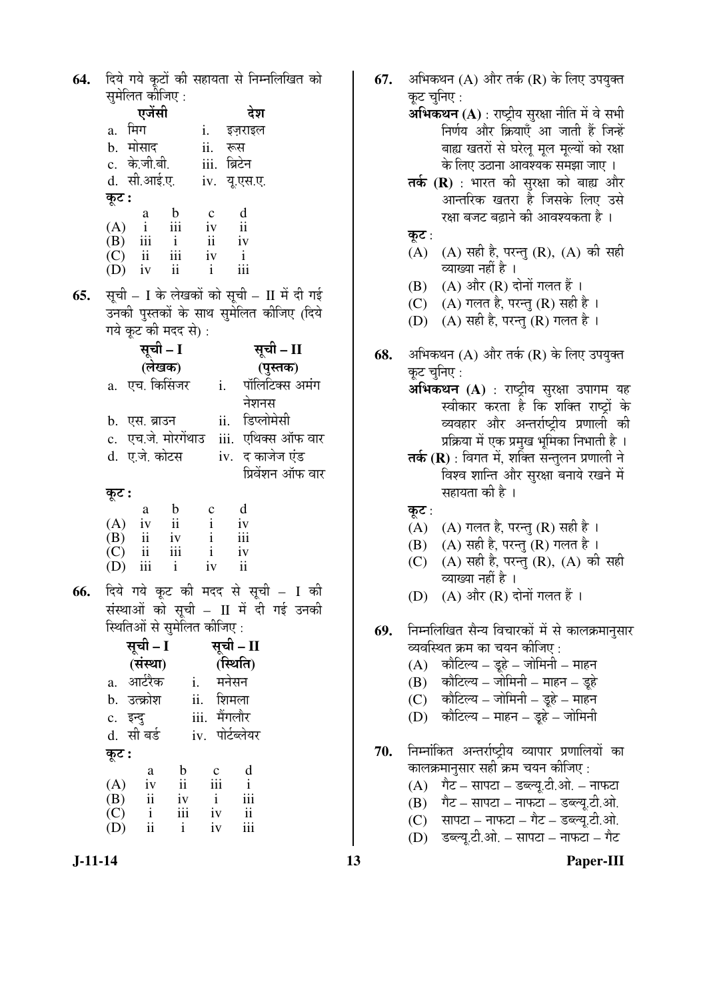**64.** दिये गये कूटों की सहायता से निम्नलिखित को सुमेलित कीजिए : एजेंसी देश a. मिग i. इज़राइल b. मोसाद ii. रूस c. के.जी.बी. iii. ब्रिटेन d. सी.आई.ए. iv. यू.एस.ए.  $\overline{\phi}$ : a b c d  $(A)$  i iii iv ii<br> $(B)$  iii i ii iv (B) iii ii ii iv  $(C)$  ii iii iv i  $(C)$  ii iii iv i<br> $(D)$  iv ii i iii  $(D)$ **65.** सूची – I के लेखकों को सूची – II में दी गई उनकी पुस्तकों के साथ सुमेलित कीजिए (दिये गये कूट की मदद से): सूची – I **(**»ÖêÜÖÛú**)**  सूची – II **(**¯ÖãßÖÛú**)**  a. एच. किसिंजर i. पॉलिटिक्स अमंग नेशनस b. एस. ब्राउन ii. डिप्लोमेसी c. एच.जे. मोरगेंथाउ iii. एथिक्स ऑफ वार d. ए.जे. कोटस iv. द काजेज एंड प्रिवेंशन ऑफ वार Ûæú™ü **:** a b c d  $(A)$  iv ii i iv  $(B)$  ii iv i iii  $(C)$  ii iii i iv (D) iii i iv ii 66. दिये गये कूट की मदद से सूची – I की संस्थाओं को सूची –  $II$  में दी गई उनकी <u>स्थितिओं से सुमेलित कीजिए:</u> सूची – I **(**ÃÖÓãÖÖ**)**  सूची – II **(**×ãÖןÖ**)**  a. आर्टरैक i. मनेसन b. उत्क्रोश ii. शिमला c. इन्दु iii. मैंगलौर d. सी बर्ड iv. पोर्टब्लेयर कूट : a b c d  $(A)$  iv ii iii i (B) ii iv i iii  $\begin{matrix} (C) & i & iii & iv & ii \\ (D) & ii & i & iv & iii \end{matrix}$  $(D)$  ii i

बाह्य खतरों से घरेलू मूल मूल्यों को रक्षा के लिए उठाना आवश्यक समझा जाए । तर्क (R) : भारत की सुरक्षा को बाह्य और आन्तरिक खतरा है जिसके लिए उसे रक्षा बजट बढाने की आवश्यकता है । कट $:$  $(A)$   $(A)$  सही है, परन्तु  $(R)$ ,  $(A)$  की सही व्याख्या नहीं है ।  $(B)$   $(A)$  और  $(R)$  दोनों गलत हैं। (C)  $(A)$  गलत है, परन्तु (R) सही है । (D)  $(A)$  सही है, परन्तु (R) गलत है। **68.** अभिकथन (A) और तर्क (R) के लिए उपयुक्त कट चनिए : **अभिकथन (A)** : राष्ट्रीय सुरक्षा उपागम यह स्वीकार करता है कि शक्ति राष्ट्रों के व्यवहार और अन्तर्राष्ट्रीय प्रणाली की प्रक्रिया में एक प्रमुख भूमिका निभाती है । **तर्क (R)** : विगत में, शक्ति सन्तुलन प्रणाली ने विश्व शान्ति और सुरक्षा बनाये रखने में सहायता की है । कूट: (A)  $(A)$  गलत है, परन्तु (R) सही है । (B)  $(A)$  सही है, परन्तु (R) गलत है । (C) (A) सही है, परन्तु (R), (A) की सही व्याख्या नहीं है ।  $(D)$   $(A)$  और  $(R)$  दोनों गलत हैं। **69.** निम्नलिखित सैन्य विचारकों में से कालक्रमानुसार व्यवस्थित क्रम का चयन कीजिए :  $(A)$  कौटिल्य – डूहे – जोमिनी – माहन  $(B)$  कौटिल्य – जोमिनी – माहन – डुहे  $(C)$  कौटिल्य – जोमिनी – डूहे – माहन  $(D)$  कौटिल्य – माहन – डूहे – जोमिनी 70. निम्नोंकित अन्तर्राष्ट्रीय व्यापार प्रणालियों का कालक्रमानुसार सही क्रम चयन कीजिए :  $(A)$  गैट – सापटा – डब्ल्यू.टी.ओ. – नाफटा  $(B)$  गैट – सापटा – नाफटा – डब्ल्यू.टी.ओ.  $(C)$  सापटा – नाफटा – गैट – डब्ल्यू.टी.ओ.

**67.** अभिकथन (A) और तर्क (R) के लिए उपयुक्त

**अभिकथन (A)** : राष्ट्रीय सुरक्षा नीति में वे सभी

निर्णय और क्रियाएँ आ जाती हैं जिन्हें

कूट चुनिए :

 $(D)$  डब्ल्यू.टी.ओ. – सापटा – नाफटा – गैट

**J-11-14 13 Paper-III**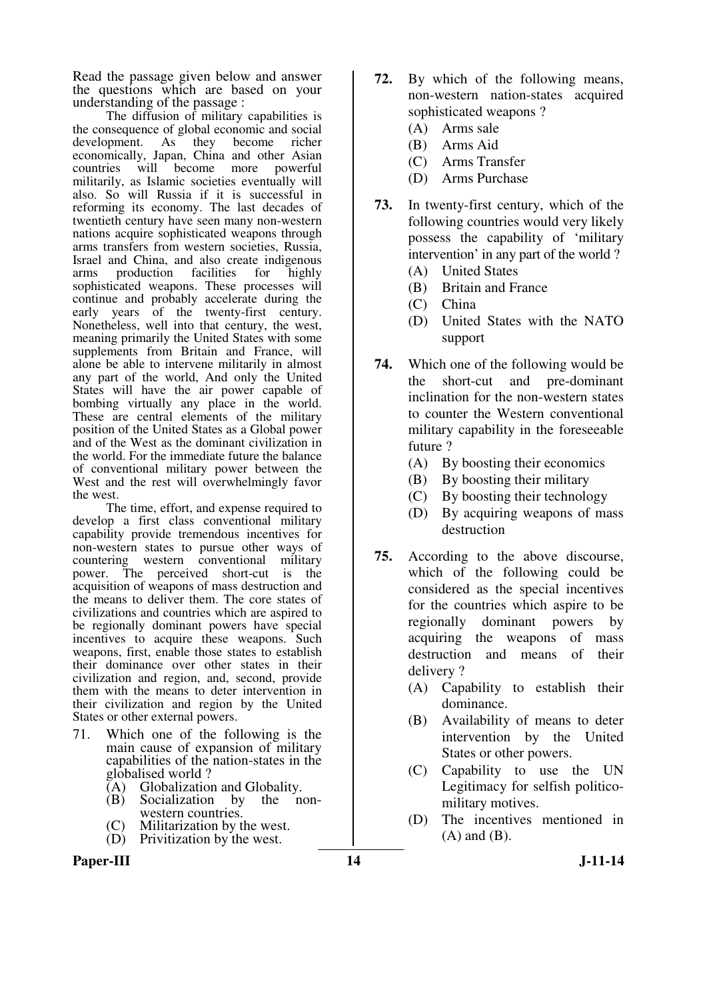Read the passage given below and answer the questions which are based on your understanding of the passage :

The diffusion of military capabilities is the consequence of global economic and social development. As they become richer economically, Japan, China and other Asian countries will become more powerful militarily, as Islamic societies eventually will also. So will Russia if it is successful in reforming its economy. The last decades of twentieth century have seen many non-western nations acquire sophisticated weapons through arms transfers from western societies, Russia, Israel and China, and also create indigenous arms production facilities sophisticated weapons. These processes will continue and probably accelerate during the early years of the twenty-first century. Nonetheless, well into that century, the west, meaning primarily the United States with some supplements from Britain and France, will alone be able to intervene militarily in almost any part of the world, And only the United States will have the air power capable of bombing virtually any place in the world. These are central elements of the military position of the United States as a Global power and of the West as the dominant civilization in the world. For the immediate future the balance of conventional military power between the West and the rest will overwhelmingly favor the west.

 The time, effort, and expense required to develop a first class conventional military capability provide tremendous incentives for non-western states to pursue other ways of countering western conventional military power. The perceived short-cut is the acquisition of weapons of mass destruction and the means to deliver them. The core states of civilizations and countries which are aspired to be regionally dominant powers have special incentives to acquire these weapons. Such weapons, first, enable those states to establish their dominance over other states in their civilization and region, and, second, provide them with the means to deter intervention in their civilization and region by the United States or other external powers.

- 71. Which one of the following is the main cause of expansion of military capabilities of the nation-states in the globalised world ?
	- $\overline{A}$  Globalization and Globality.<br>
	(B) Socialization by the non-
	- Socialization by western countries.
	- (C) Militarization by the west.
	- (D) Privitization by the west.
- Paper-III **14** J-11-14
- **72.** By which of the following means, non-western nation-states acquired sophisticated weapons ?
	- (A) Arms sale
	- (B) Arms Aid
	- (C) Arms Transfer
	- (D) Arms Purchase
- **73.** In twenty-first century, which of the following countries would very likely possess the capability of 'military intervention' in any part of the world ?
	- (A) United States
	- (B) Britain and France
	- (C) China
	- (D) United States with the NATO support
- **74.** Which one of the following would be the short-cut and pre-dominant inclination for the non-western states to counter the Western conventional military capability in the foreseeable future ?
	- (A) By boosting their economics
	- (B) By boosting their military
	- (C) By boosting their technology
	- (D) By acquiring weapons of mass destruction
- **75.** According to the above discourse, which of the following could be considered as the special incentives for the countries which aspire to be regionally dominant powers by acquiring the weapons of mass destruction and means of their delivery ?
	- (A) Capability to establish their dominance.
	- (B) Availability of means to deter intervention by the United States or other powers.
	- (C) Capability to use the UN Legitimacy for selfish politicomilitary motives.
	- (D) The incentives mentioned in (A) and (B).
-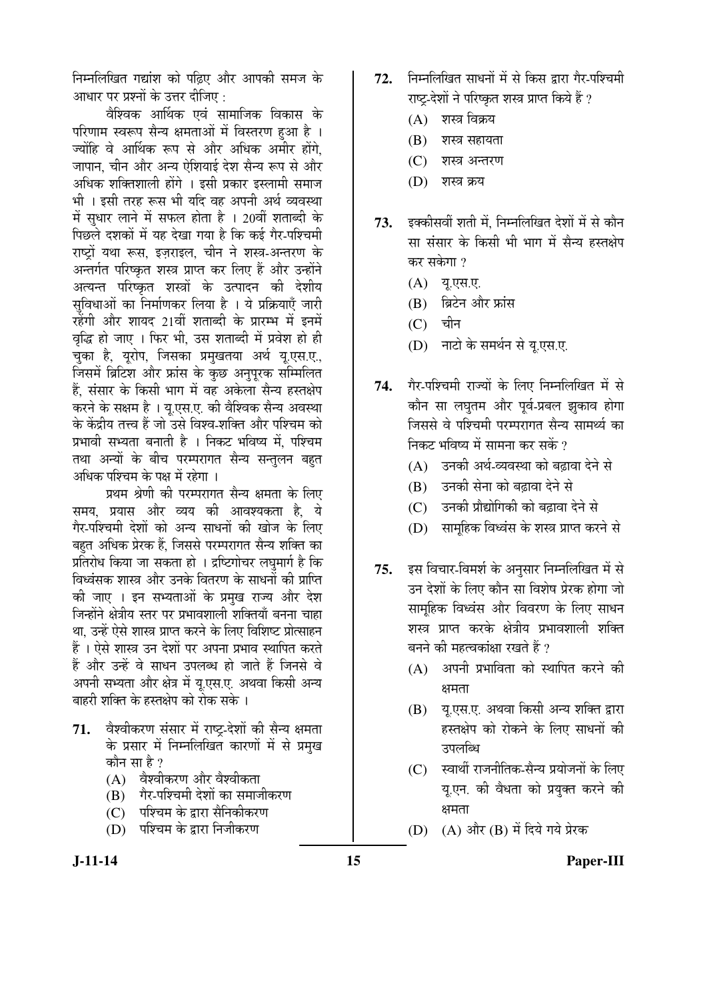निम्नलिखित गद्यांश को पढिए और आपकी समज के आधार पर प्रश्नों के उत्तर दीजिए :

वेश्विक आर्थिक एवं सामाजिक विकास के परिणाम स्वरूप सैन्य क्षमताओं में विस्तरण हुआ है । ज्योंहि वे आर्थिक रूप से और अधिक अमीर होंगे<u>.</u> <u>जापान, चीन और अन्य ऐशियाई देश सैन्य रूप से और</u> अधिक शक्तिशाली होंगे । इसी प्रकार इस्लामी समाज भी । इसी तरह रूस भी यदि वह अपनी अर्थ व्यवस्था में सुधार लाने में सफल होता है । 20वीं शताब्दी के पिछले दशकों में यह देखा गया है कि कई गैर-पश्चिमी राष्ट्रों यथा रूस, इज़राइल, चीन ने शस्त्र-अन्तरण के अन्तर्गत परिष्कृत शस्त्र प्राप्त कर लिए हैं और उन्होंने अत्यन्त परिष्कृत शस्त्रों के उत्पादन की देशीय सुविधाओं का निर्माणकर लिया है । ये प्रक्रियाएँ जारी रहेंगी और शायद 21वीं शताब्दी के प्रारम्भ में इनमें वृद्धि हो जाए । फिर भी, उस शताब्दी में प्रवेश हो ही चुका है, यूरोप, जिसका प्रमुखतया अर्थ यू.एस.ए., जिसमें ब्रिटिश और फ्रांस के कुछ अनुपूरक सम्मिलित हैं. संसार के किसी भाग में वह अकेला सैन्य हस्तक्षेप करने के सक्षम है । यू.एस.ए. की वैश्विक सैन्य अवस्था के केंद्रीय तत्त्व हैं जो उसे विश्व-शक्ति और पश्चिम को प्रभावी सभ्यता बनाती है । निकट भविष्य में, पश्चिम तथा अन्यों के बीच परम्परागत सैन्य सन्तुलन बहुत अधिक पश्चिम के पक्ष में रहेगा ।

प्रथम श्रेणी की परम्परागत सैन्य क्षमता के लिए समय, प्रयास और व्यय की आवश्यकता है, ये गैर-पश्चिमी देशों को अन्य साधनों की खोज के लिए बहत अधिक प्रेरक हैं. जिससे परम्परागत सैन्य शक्ति का प्रतिरोध किया जा सकता हो । द्रष्टिगोचर लघमार्ग है कि विध्वंसक शास्त्र और उनके वितरण के साधनों की प्राप्ति की जाए । इन सभ्यताओं के प्रमुख राज्य और देश जिन्होंने क्षेत्रीय स्तर पर प्रभावशाली शक्तियाँ बनना चाहा था, उन्हें ऐसे शास्त्र प्राप्त करने के लिए विशिष्ट प्रोत्साहन हैं । ऐसे शास्त्र उन देशों पर अपना प्रभाव स्थापित करते हैं और उन्हें वे साधन उपलब्ध हो जाते हैं जिनसे वे अपनी सभ्यता और क्षेत्र में यु.एस.ए. अथवा किसी अन्य बाहरी शक्ति के हस्तक्षेप को रोक सके ।

- 71. वेश्वीकरण संसार में राष्ट्र-देशों की सैन्य क्षमता के प्रसार में निम्नलिखित कारणों में से प्रमुख कौन सा $\bm{\mathcal{E}}$  ?
	- (A) वैश्वीकरण और वैश्वीकता
	- (B) गैर-पश्चिमी देशों का समाजीकरण
	- (C) जिंश्चिम के द्वारा सैनिकीकरण
	- (D) पश्चिम के द्वारा निजीकरण
- 72. निम्नलिखित साधनों में से किस द्वारा गैर-पश्चिमी राष्ट-देशों ने परिष्कृत शस्त्र प्राप्त किये हैं ?
	- $(A)$  शस्त्र विक्रय
	- $(B)$  शस्त्र सहायता
	- (C) शस्त्र अन्तरण
	- (D) शस्त्र क्रय
- 73. इक्कीसवीं शती में, निम्नलिखित देशों में से कौन सा संसार के किसी भी भाग में सैन्य हस्तक्षेप कर सकेगा ?
	- (A) य.एस.ए.
	- $(B)$  ब्रिटेन और फ्रांस
	- $(C)$  चीन
	- (D) नाटो के समर्थन से यू.एस.ए.
- 74. गैर-पश्चिमी राज्यों के लिए निम्नलिखित में से कौन सा लघुतम और पूर्व-प्रबल झुकाव होगा जिससे वे पश्चिमी परम्परागत सैन्य सामर्थ्य का निकट भविष्य में सामना कर सकें ?
	- $(A)$  उनकी अर्थ-व्यवस्था को बढावा देने से
	- (B) उनकी सेना को बढ़ावा देने से
	- (C) उनकी प्रौद्योगिकी को बढ़ावा देने से
	- (D) सामुहिक विध्वंस के शस्त्र प्राप्त करने से
- 75. इस विचार-विमर्श के अनुसार निम्नलिखित में से उन देशों के लिए कौन सा विशेष प्रेरक होगा जो सामहिक विध्वंस और विवरण के लिए साधन शस्त्र प्राप्त करके क्षेत्रीय प्रभावशाली शक्ति बनने की महत्वकांक्षा रखते हैं ?
	- $(A)$  अपनी प्रभाविता को स्थापित करने की क्षमता
	- $(B)$  । यु.एस.ए. अथवा किसी अन्य शक्ति द्वारा हस्तक्षेप को रोकने के लिए साधनों की उपलब्धि
	- (C) स्वार्थी राजनीतिक-सैन्य प्रयोजनों के लिए य.एन. की वैधता को प्रयुक्त करने की क्षमता
	- (D) (A) और (B) में दिये गये प्रेरक